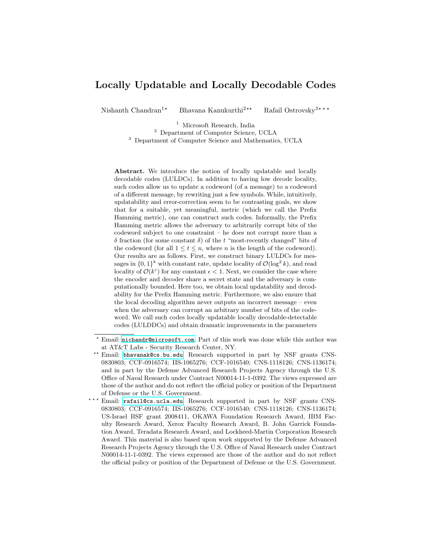# Locally Updatable and Locally Decodable Codes

Nishanth Chandran<sup>1\*</sup> Bhavana Kanukurthi<sup>2\*\*</sup> Rafail Ostrovsky<sup>3\*\*\*</sup>

<sup>1</sup> Microsoft Research, India

<sup>2</sup> Department of Computer Science, UCLA <sup>3</sup> Department of Computer Science and Mathematics, UCLA

Abstract. We introduce the notion of locally updatable and locally decodable codes (LULDCs). In addition to having low decode locality, such codes allow us to update a codeword (of a message) to a codeword of a different message, by rewriting just a few symbols. While, intuitively, updatability and error-correction seem to be contrasting goals, we show that for a suitable, yet meaningful, metric (which we call the Prefix Hamming metric), one can construct such codes. Informally, the Prefix Hamming metric allows the adversary to arbitrarily corrupt bits of the codeword subject to one constraint – he does not corrupt more than a δ fraction (for some constant δ) of the t "most-recently changed" bits of the codeword (for all  $1 \le t \le n$ , where *n* is the length of the codeword). Our results are as follows. First, we construct binary LULDCs for messages in  $\{0,1\}^k$  with constant rate, update locality of  $\mathcal{O}(\log^2 k)$ , and read locality of  $\mathcal{O}(k^{\epsilon})$  for any constant  $\epsilon < 1$ . Next, we consider the case where the encoder and decoder share a secret state and the adversary is computationally bounded. Here too, we obtain local updatability and decodability for the Prefix Hamming metric. Furthermore, we also ensure that the local decoding algorithm never outputs an incorrect message – even when the adversary can corrupt an arbitrary number of bits of the codeword. We call such codes locally updatable locally decodable-detectable codes (LULDDCs) and obtain dramatic improvements in the parameters

Email: [nichandr@microsoft.com](mailto:nichandr@microsoft.com). Part of this work was done while this author was at AT&T Labs - Security Research Center, NY.

Email: [bhavanak@cs.bu.edu](mailto:bhavanak@cs.bu.edu). Research supported in part by NSF grants CNS-0830803; CCF-0916574; IIS-1065276; CCF-1016540; CNS-1118126; CNS-1136174; and in part by the Defense Advanced Research Projects Agency through the U.S. Office of Naval Research under Contract N00014-11-1-0392. The views expressed are those of the author and do not reflect the official policy or position of the Department of Defense or the U.S. Government.

Email: [rafail@cs.ucla.edu](mailto:rafail@cs.ucla.edu). Research supported in part by NSF grants CNS-0830803; CCF-0916574; IIS-1065276; CCF-1016540; CNS-1118126; CNS-1136174; US-Israel BSF grant 2008411, OKAWA Foundation Research Award, IBM Faculty Research Award, Xerox Faculty Research Award, B. John Garrick Foundation Award, Teradata Research Award, and Lockheed-Martin Corporation Research Award. This material is also based upon work supported by the Defense Advanced Research Projects Agency through the U.S. Office of Naval Research under Contract N00014-11-1-0392. The views expressed are those of the author and do not reflect the official policy or position of the Department of Defense or the U.S. Government.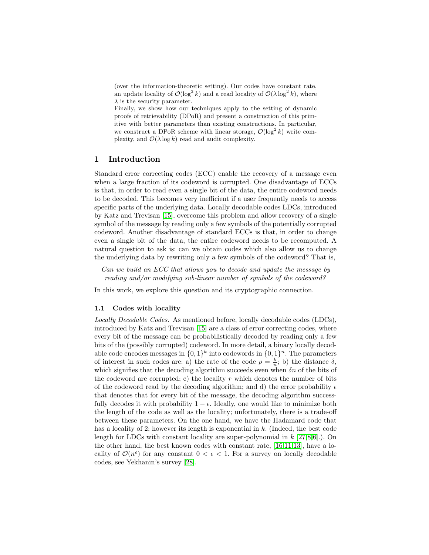(over the information-theoretic setting). Our codes have constant rate, an update locality of  $\mathcal{O}(\log^2 k)$  and a read locality of  $\mathcal{O}(\lambda \log^2 k)$ , where  $\lambda$  is the security parameter.

Finally, we show how our techniques apply to the setting of dynamic proofs of retrievability (DPoR) and present a construction of this primitive with better parameters than existing constructions. In particular, we construct a DPoR scheme with linear storage,  $\mathcal{O}(\log^2 k)$  write complexity, and  $\mathcal{O}(\lambda \log k)$  read and audit complexity.

### 1 Introduction

Standard error correcting codes (ECC) enable the recovery of a message even when a large fraction of its codeword is corrupted. One disadvantage of ECCs is that, in order to read even a single bit of the data, the entire codeword needs to be decoded. This becomes very inefficient if a user frequently needs to access specific parts of the underlying data. Locally decodable codes LDCs, introduced by Katz and Trevisan [\[15\]](#page-24-0), overcome this problem and allow recovery of a single symbol of the message by reading only a few symbols of the potentially corrupted codeword. Another disadvantage of standard ECCs is that, in order to change even a single bit of the data, the entire codeword needs to be recomputed. A natural question to ask is: can we obtain codes which also allow us to change the underlying data by rewriting only a few symbols of the codeword? That is,

Can we build an ECC that allows you to decode and update the message by reading and/or modifying sub-linear number of symbols of the codeword?

In this work, we explore this question and its cryptographic connection.

#### 1.1 Codes with locality

Locally Decodable Codes. As mentioned before, locally decodable codes (LDCs), introduced by Katz and Trevisan [\[15\]](#page-24-0) are a class of error correcting codes, where every bit of the message can be probabilistically decoded by reading only a few bits of the (possibly corrupted) codeword. In more detail, a binary locally decodable code encodes messages in  $\{0,1\}^k$  into codewords in  $\{0,1\}^n$ . The parameters of interest in such codes are: a) the rate of the code  $\rho = \frac{k}{n}$ ; b) the distance  $\delta$ , which signifies that the decoding algorithm succeeds even when  $\delta n$  of the bits of the codeword are corrupted; c) the locality r which denotes the number of bits of the codeword read by the decoding algorithm; and d) the error probability  $\epsilon$ that denotes that for every bit of the message, the decoding algorithm successfully decodes it with probability  $1 - \epsilon$ . Ideally, one would like to minimize both the length of the code as well as the locality; unfortunately, there is a trade-off between these parameters. On the one hand, we have the Hadamard code that has a locality of 2; however its length is exponential in k. (Indeed, the best code length for LDCs with constant locality are super-polynomial in  $k$  [\[27](#page-24-1)[,8,](#page-23-0)[6\]](#page-23-1).). On the other hand, the best known codes with constant rate, [\[16,](#page-24-2)[11,](#page-24-3)[13\]](#page-24-4), have a locality of  $\mathcal{O}(n^{\epsilon})$  for any constant  $0 < \epsilon < 1$ . For a survey on locally decodable codes, see Yekhanin's survey [\[28\]](#page-24-5).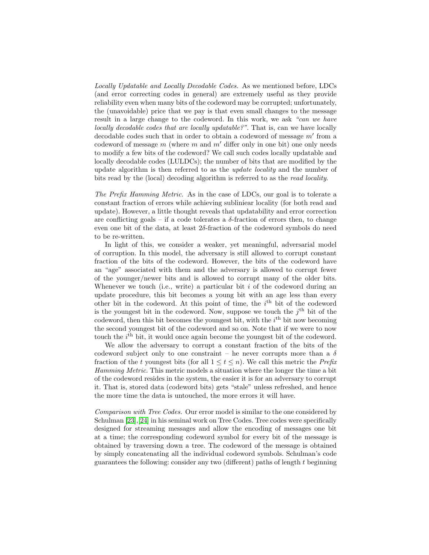Locally Updatable and Locally Decodable Codes. As we mentioned before, LDCs (and error correcting codes in general) are extremely useful as they provide reliability even when many bits of the codeword may be corrupted; unfortunately, the (unavoidable) price that we pay is that even small changes to the message result in a large change to the codeword. In this work, we ask "can we have locally decodable codes that are locally updatable?". That is, can we have locally decodable codes such that in order to obtain a codeword of message  $m'$  from a codeword of message m (where m and  $m'$  differ only in one bit) one only needs to modify a few bits of the codeword? We call such codes locally updatable and locally decodable codes (LULDCs); the number of bits that are modified by the update algorithm is then referred to as the update locality and the number of bits read by the (local) decoding algorithm is referred to as the read locality.

The Prefix Hamming Metric. As in the case of LDCs, our goal is to tolerate a constant fraction of errors while achieving subliniear locality (for both read and update). However, a little thought reveals that updatability and error correction are conflicting goals – if a code tolerates a  $\delta$ -fraction of errors then, to change even one bit of the data, at least  $2\delta$ -fraction of the codeword symbols do need to be re-written.

In light of this, we consider a weaker, yet meaningful, adversarial model of corruption. In this model, the adversary is still allowed to corrupt constant fraction of the bits of the codeword. However, the bits of the codeword have an "age" associated with them and the adversary is allowed to corrupt fewer of the younger/newer bits and is allowed to corrupt many of the older bits. Whenever we touch (i.e., write) a particular bit  $i$  of the codeword during an update procedure, this bit becomes a young bit with an age less than every other bit in the codeword. At this point of time, the  $i<sup>th</sup>$  bit of the codeword is the youngest bit in the codeword. Now, suppose we touch the  $j<sup>th</sup>$  bit of the codeword, then this bit becomes the youngest bit, with the  $i<sup>th</sup>$  bit now becoming the second youngest bit of the codeword and so on. Note that if we were to now touch the  $i<sup>th</sup>$  bit, it would once again become the youngest bit of the codeword.

We allow the adversary to corrupt a constant fraction of the bits of the codeword subject only to one constraint – he never corrupts more than a  $\delta$ fraction of the t youngest bits (for all  $1 \le t \le n$ ). We call this metric the *Prefix* Hamming Metric. This metric models a situation where the longer the time a bit of the codeword resides in the system, the easier it is for an adversary to corrupt it. That is, stored data (codeword bits) gets "stale" unless refreshed, and hence the more time the data is untouched, the more errors it will have.

Comparison with Tree Codes. Our error model is similar to the one considered by Schulman [\[23\]](#page-24-6),[\[24\]](#page-24-7) in his seminal work on Tree Codes. Tree codes were specifically designed for streaming messages and allow the encoding of messages one bit at a time; the corresponding codeword symbol for every bit of the message is obtained by traversing down a tree. The codeword of the message is obtained by simply concatenating all the individual codeword symbols. Schulman's code guarantees the following: consider any two (different) paths of length t beginning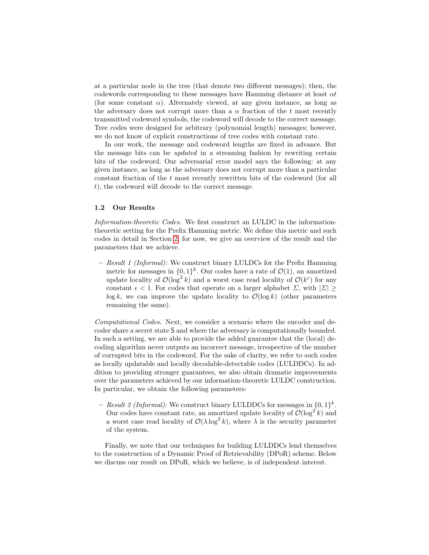at a particular node in the tree (that denote two different messages); then, the codewords corresponding to these messages have Hamming distance at least  $\alpha t$ (for some constant  $\alpha$ ). Alternately viewed, at any given instance, as long as the adversary does not corrupt more than a  $\alpha$  fraction of the t most recently transmitted codeword symbols, the codeword will decode to the correct message. Tree codes were designed for arbitrary (polynomial length) messages; however, we do not know of explicit constructions of tree codes with constant rate.

In our work, the message and codeword lengths are fixed in advance. But the message bits can be updated in a streaming fashion by rewriting certain bits of the codeword. Our adversarial error model says the following: at any given instance, as long as the adversary does not corrupt more than a particular constant fraction of the t most recently rewritten bits of the codeword (for all t), the codeword will decode to the correct message.

#### 1.2 Our Results

Information-theoretic Codes. We first construct an LULDC in the informationtheoretic setting for the Prefix Hamming metric. We define this metric and such codes in detail in Section [2;](#page-7-0) for now, we give an overview of the result and the parameters that we achieve.

– Result 1 (Informal): We construct binary LULDCs for the Prefix Hamming metric for messages in  $\{0,1\}^k$ . Our codes have a rate of  $\mathcal{O}(1)$ , an amortized update locality of  $\mathcal{O}(\log^2 k)$  and a worst case read locality of  $\mathcal{O}(k^{\epsilon})$  for any constant  $\epsilon$  < 1. For codes that operate on a larger alphabet  $\Sigma$ , with  $|\Sigma| \ge$  $\log k$ , we can improve the update locality to  $\mathcal{O}(\log k)$  (other parameters remaining the same).

Computational Codes. Next, we consider a scenario where the encoder and decoder share a secret state S and where the adversary is computationally bounded. In such a setting, we are able to provide the added guarantee that the (local) decoding algorithm never outputs an incorrect message, irrespective of the number of corrupted bits in the codeword. For the sake of clarity, we refer to such codes as locally updatable and locally decodable-detectable codes (LULDDCs). In addition to providing stronger guarantees, we also obtain dramatic improvements over the parameters achieved by our information-theoretic LULDC construction. In particular, we obtain the following parameters:

- Result 2 (Informal): We construct binary LULDDCs for messages in  $\{0,1\}^k$ . Our codes have constant rate, an amortized update locality of  $\mathcal{O}(\log^2 k)$  and a worst case read locality of  $\mathcal{O}(\lambda \log^2 k)$ , where  $\lambda$  is the security parameter of the system.

Finally, we note that our techniques for building LULDDCs lend themselves to the construction of a Dynamic Proof of Retrievability (DPoR) scheme. Below we discuss our result on DPoR, which we believe, is of independent interest.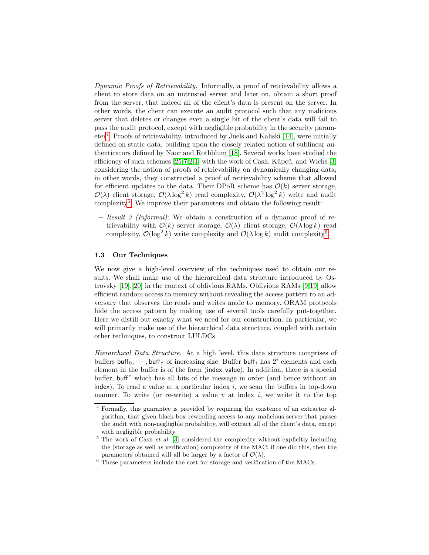Dynamic Proofs of Retrievability. Informally, a proof of retrievability allows a client to store data on an untrusted server and later on, obtain a short proof from the server, that indeed all of the client's data is present on the server. In other words, the client can execute an audit protocol such that any malicious server that deletes or changes even a single bit of the client's data will fail to pass the audit protocol, except with negligible probability in the security parameter[4](#page-4-0) . Proofs of retrievability, introduced by Juels and Kaliski [\[14\]](#page-24-8), were initially defined on static data, building upon the closely related notion of sublinear authenticators defined by Naor and Rothblum [\[18\]](#page-24-9). Several works have studied the efficiency of such schemes  $[25,7,2,1]$  $[25,7,2,1]$  $[25,7,2,1]$  $[25,7,2,1]$  with the work of Cash, Küpçü, and Wichs  $[3]$ considering the notion of proofs of retrievability on dynamically changing data; in other words, they constructed a proof of retrievability scheme that allowed for efficient updates to the data. Their DPoR scheme has  $\mathcal{O}(k)$  server storage.  $\mathcal{O}(\lambda)$  client storage,  $\mathcal{O}(\lambda \log^2 k)$  read complexity,  $\mathcal{O}(\lambda^2 \log^2 k)$  write and audit complexity<sup>[5](#page-4-1)</sup>. We improve their parameters and obtain the following result:

 $-$  Result 3 (Informal): We obtain a construction of a dynamic proof of retrievability with  $\mathcal{O}(k)$  server storage,  $\mathcal{O}(\lambda)$  client storage,  $\mathcal{O}(\lambda \log k)$  read complexity,  $\mathcal{O}(\log^2 k)$  write complexity and  $\mathcal{O}(\lambda \log k)$  audit complexity<sup>[6](#page-4-2)</sup>.

#### 1.3 Our Techniques

We now give a high-level overview of the techniques used to obtain our results. We shall make use of the hierarchical data structure introduced by Ostrovsky [\[19\]](#page-24-11),[\[20\]](#page-24-12) in the context of oblivious RAMs. Oblivious RAMs [\[9,](#page-23-6)[19\]](#page-24-11) allow efficient random access to memory without revealing the access pattern to an adversary that observes the reads and writes made to memory. ORAM protocols hide the access pattern by making use of several tools carefully put-together. Here we distill out exactly what we need for our construction. In particular, we will primarily make use of the hierarchical data structure, coupled with certain other techniques, to construct LULDCs.

Hierarchical Data Structure. At a high level, this data structure comprises of buffers buff<sub>0</sub>, $\cdots$ , buff<sub> $\tau$ </sub> of increasing size. Buffer buff<sub>i</sub> has  $2^i$  elements and each element in the buffer is of the form (index, value). In addition, there is a special buffer, buff<sup>\*</sup> which has all bits of the message in order (and hence without an index). To read a value at a particular index i, we scan the buffers in top-down manner. To write (or re-write) a value v at index i, we write it to the top

<span id="page-4-0"></span><sup>4</sup> Formally, this guarantee is provided by requiring the existence of an extractor algorithm, that given black-box rewinding access to any malicious server that passes the audit with non-negligible probability, will extract all of the client's data, except with negligible probability.

<span id="page-4-1"></span> $5$  The work of Cash *et al.* [\[3\]](#page-23-5) considered the complexity without explicitly including the (storage as well as verification) complexity of the MAC; if one did this, then the parameters obtained will all be larger by a factor of  $\mathcal{O}(\lambda)$ .

<span id="page-4-2"></span> $^6$  These parameters include the cost for storage and verification of the MACs.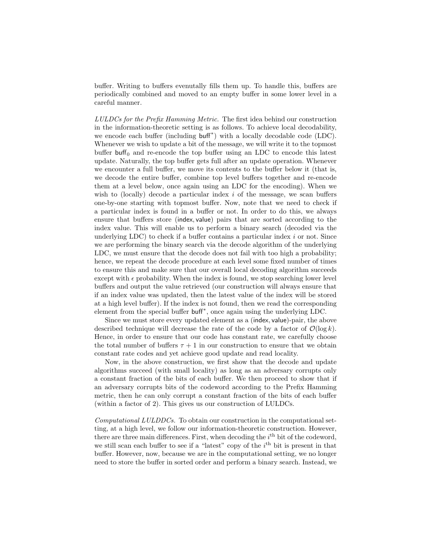buffer. Writing to buffers evenutally fills them up. To handle this, buffers are periodically combined and moved to an empty buffer in some lower level in a careful manner.

LULDCs for the Prefix Hamming Metric. The first idea behind our construction in the information-theoretic setting is as follows. To achieve local decodability, we encode each buffer (including buff<sup>\*</sup>) with a locally decodable code (LDC). Whenever we wish to update a bit of the message, we will write it to the topmost buffer buff<sub>0</sub> and re-encode the top buffer using an LDC to encode this latest update. Naturally, the top buffer gets full after an update operation. Whenever we encounter a full buffer, we move its contents to the buffer below it (that is, we decode the entire buffer, combine top level buffers together and re-encode them at a level below, once again using an LDC for the encoding). When we wish to (locally) decode a particular index  $i$  of the message, we scan buffers one-by-one starting with topmost buffer. Now, note that we need to check if a particular index is found in a buffer or not. In order to do this, we always ensure that buffers store (index, value) pairs that are sorted according to the index value. This will enable us to perform a binary search (decoded via the underlying LDC) to check if a buffer contains a particular index  $i$  or not. Since we are performing the binary search via the decode algorithm of the underlying LDC, we must ensure that the decode does not fail with too high a probability; hence, we repeat the decode procedure at each level some fixed number of times to ensure this and make sure that our overall local decoding algorithm succeeds except with  $\epsilon$  probability. When the index is found, we stop searching lower level buffers and output the value retrieved (our construction will always ensure that if an index value was updated, then the latest value of the index will be stored at a high level buffer). If the index is not found, then we read the corresponding element from the special buffer buff<sup>\*</sup>, once again using the underlying LDC.

Since we must store every updated element as a (index, value)-pair, the above described technique will decrease the rate of the code by a factor of  $\mathcal{O}(\log k)$ . Hence, in order to ensure that our code has constant rate, we carefully choose the total number of buffers  $\tau + 1$  in our construction to ensure that we obtain constant rate codes and yet achieve good update and read locality.

Now, in the above construction, we first show that the decode and update algorithms succeed (with small locality) as long as an adversary corrupts only a constant fraction of the bits of each buffer. We then proceed to show that if an adversary corrupts bits of the codeword according to the Prefix Hamming metric, then he can only corrupt a constant fraction of the bits of each buffer (within a factor of 2). This gives us our construction of LULDCs.

Computational LULDDCs. To obtain our construction in the computational setting, at a high level, we follow our information-theoretic construction. However, there are three main differences. First, when decoding the  $i<sup>th</sup>$  bit of the codeword, we still scan each buffer to see if a "latest" copy of the  $i<sup>th</sup>$  bit is present in that buffer. However, now, because we are in the computational setting, we no longer need to store the buffer in sorted order and perform a binary search. Instead, we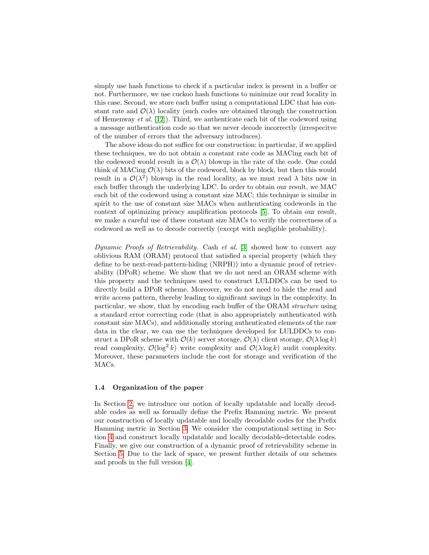simply use hash functions to check if a particular index is present in a buffer or not. Furthermore, we use cuckoo hash functions to minimize our read locality in this case. Second, we store each buffer using a computational LDC that has constant rate and  $\mathcal{O}(\lambda)$  locality (such codes are obtained through the construction of Hemenway et al. [\[12\]](#page-24-13)). Third, we authenticate each bit of the codeword using a message authentication code so that we never decode incorrectly (irrespecitve of the number of errors that the adversary introduces).

The above ideas do not suffice for our construction: in particular, if we applied these techniques, we do not obtain a constant rate code as MACing each bit of the codeword would result in a  $\mathcal{O}(\lambda)$  blowup in the rate of the code. One could think of MACing  $\mathcal{O}(\lambda)$  bits of the codeword, block by block, but then this would result in a  $\mathcal{O}(\lambda^2)$  blowup in the read locality, as we must read  $\lambda$  bits now in each buffer through the underlying LDC. In order to obtain our result, we MAC each bit of the codeword using a constant size MAC; this technique is similar in spirit to the use of constant size MACs when authenticating codewords in the context of optimizing privacy amplification protocols [\[5\]](#page-23-7). To obtain our result, we make a careful use of these constant size MACs to verify the correctness of a codeword as well as to decode correctly (except with negligible probability).

Dynamic Proofs of Retrievability. Cash et al. [\[3\]](#page-23-5) showed how to convert any oblivious RAM (ORAM) protocol that satisfied a special property (which they define to be next-read-pattern-hiding (NRPH)) into a dynamic proof of retrievability (DPoR) scheme. We show that we do not need an ORAM scheme with this property and the techniques used to construct LULDDCs can be used to directly build a DPoR scheme. Moreover, we do not need to hide the read and write access pattern, thereby leading to significant savings in the complexity. In particular, we show, that by encoding each buffer of the ORAM structure using a standard error correcting code (that is also appropriately authenticated with constant size MACs), and additionally storing authenticated elements of the raw data in the clear, we can use the techniques developed for LULDDCs to construct a DPoR scheme with  $\mathcal{O}(k)$  server storage,  $\mathcal{O}(\lambda)$  client storage,  $\mathcal{O}(\lambda \log k)$ read complexity,  $\mathcal{O}(\log^2 k)$  write complexity and  $\mathcal{O}(\lambda \log k)$  audit complexity. Moreover, these parameters include the cost for storage and verification of the MACs.

#### 1.4 Organization of the paper

In Section [2,](#page-7-0) we introduce our notion of locally updatable and locally decodable codes as well as formally define the Prefix Hamming metric. We present our construction of locally updatable and locally decodable codes for the Prefix Hamming metric in Section [3.](#page-9-0) We consider the computational setting in Section [4](#page-16-0) and construct locally updatable and locally decodable-detectable codes. Finally, we give our construction of a dynamic proof of retrievability scheme in Section [5.](#page-21-0) Due to the lack of space, we present further details of our schemes and proofs in the full version [\[4\]](#page-23-8).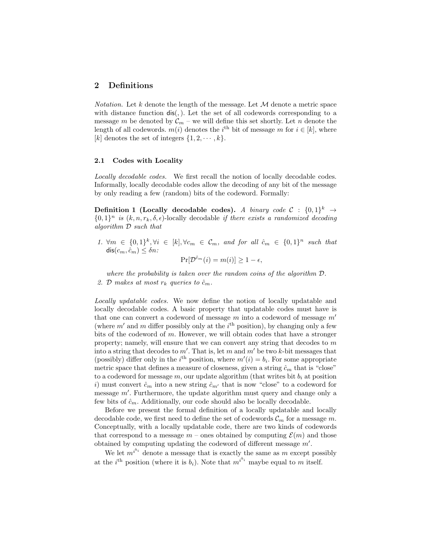## <span id="page-7-0"></span>2 Definitions

*Notation.* Let  $k$  denote the length of the message. Let  $M$  denote a metric space with distance function dis(,). Let the set of all codewords corresponding to a message m be denoted by  $\mathcal{C}_m$  – we will define this set shortly. Let n denote the length of all codewords.  $m(i)$  denotes the i<sup>th</sup> bit of message m for  $i \in [k]$ , where [k] denotes the set of integers  $\{1, 2, \dots, k\}$ .

### 2.1 Codes with Locality

Locally decodable codes. We first recall the notion of locally decodable codes. Informally, locally decodable codes allow the decoding of any bit of the message by only reading a few (random) bits of the codeword. Formally:

Definition 1 (Locally decodable codes). A binary code  $C : \{0,1\}^k \rightarrow$  $\{0,1\}^n$  is  $(k, n, r_k, \delta, \epsilon)$ -locally decodable if there exists a randomized decoding algorithm D such that

1.  $\forall m \in \{0,1\}^k, \forall i \in [k], \forall c_m \in \mathcal{C}_m$ , and for all  $\hat{c}_m \in \{0,1\}^n$  such that dis $(c_m, \hat{c}_m) \leq \delta n$  :

$$
\Pr[\mathcal{D}^{\hat{c}_m}(i) = m(i)] \ge 1 - \epsilon,
$$

where the probability is taken over the random coins of the algorithm D. 2. D makes at most  $r_k$  queries to  $\hat{c}_m$ .

Locally updatable codes. We now define the notion of locally updatable and locally decodable codes. A basic property that updatable codes must have is that one can convert a codeword of message  $m$  into a codeword of message  $m'$ (where  $m'$  and m differ possibly only at the  $i<sup>th</sup>$  position), by changing only a few bits of the codeword of  $m$ . However, we will obtain codes that have a stronger property; namely, will ensure that we can convert any string that decodes to m into a string that decodes to  $m'$ . That is, let m and m' be two k-bit messages that (possibly) differ only in the *i*<sup>th</sup> position, where  $m'(i) = b_i$ . For some appropriate metric space that defines a measure of closeness, given a string  $\hat{c}_m$  that is "close" to a codeword for message  $m$ , our update algorithm (that writes bit  $b_i$  at position i) must convert  $\hat{c}_m$  into a new string  $\hat{c}_{m'}$  that is now "close" to a codeword for message  $m'$ . Furthermore, the update algorithm must query and change only a few bits of  $\hat{c}_m$ . Additionally, our code should also be locally decodable.

Before we present the formal definition of a locally updatable and locally decodable code, we first need to define the set of codewords  $\mathcal{C}_m$  for a message m. Conceptually, with a locally updatable code, there are two kinds of codewords that correspond to a message  $m$  – ones obtained by computing  $\mathcal{E}(m)$  and those obtained by computing updating the codeword of different message  $m'$ .

We let  $m^{i^{b_i}}$  denote a message that is exactly the same as m except possibly at the *i*<sup>th</sup> position (where it is  $b_i$ ). Note that  $m^{i^{b_i}}$  maybe equal to m itself.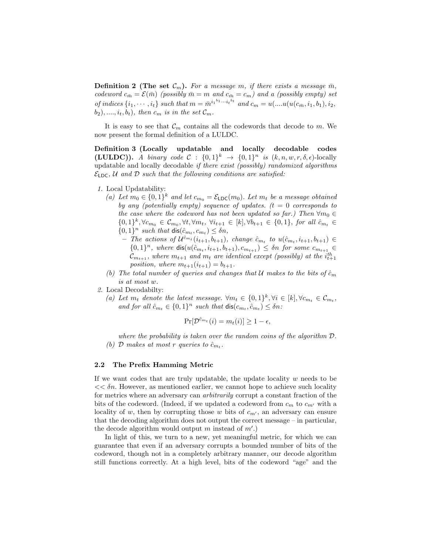**Definition 2** (The set  $\mathcal{C}_m$ ). For a message m, if there exists a message  $\bar{m}$ , codeword  $c_{\bar{m}} = \mathcal{E}(\bar{m})$  (possibly  $\bar{m} = m$  and  $c_{\bar{m}} = c_m$ ) and a (possibly empty) set of indices  $\{i_1, \dots, i_t\}$  such that  $m = \overline{m}^{i_1^{b_1} \dots i_t^{b_t}}$  and  $c_m = u(\dots u(u(c_{\overline{m}}, i_1, b_1), i_2,$  $(b_2), \ldots, i_t, b_t)$ , then  $c_m$  is in the set  $\mathcal{C}_m$ .

It is easy to see that  $\mathcal{C}_m$  contains all the codewords that decode to m. We now present the formal definition of a LULDC.

Definition 3 (Locally updatable and locally decodable codes (LULDC)). A binary code  $C : \{0,1\}^k \rightarrow \{0,1\}^n$  is  $(k, n, w, r, \delta, \epsilon)$ -locally updatable and locally decodable if there exist (possibly) randomized algorithms  $\mathcal{E}_{\text{LDC}}$ , U and D such that the following conditions are satisfied:

- 1. Local Updatability:
	- (a) Let  $m_0 \in \{0,1\}^k$  and let  $c_{m_0} = \mathcal{E}_{\text{LDC}}(m_0)$ . Let  $m_t$  be a message obtained by any (potentially empty) sequence of updates.  $(t = 0$  corresponds to the case where the codeword has not been updated so far.) Then  $\forall m_0 \in$  $\{0,1\}^k, \forall c_{m_0} \in \mathcal{C}_{m_0}, \forall t, \forall m_t, \ \forall i_{t+1} \in [k], \forall b_{t+1} \in \{0,1\}, \text{ for all } \hat{c}_{m_t} \in \mathcal{C}_{m_t}$  $\{0,1\}^n$  such that  $dis(\hat{c}_{m_t}, c_{m_t}) \leq \delta n$ ,
		- The actions of  $\mathcal{U}^{\hat{c}_{m_t}}(i_{t+1}, b_{t+1})$ , change  $\hat{c}_{m_t}$  to  $u(\hat{c}_{m_t}, i_{t+1}, b_{t+1}) \in$  $\{0,1\}^n$ , where  $dis(u(\hat{c}_{m_t}, i_{t+1}, b_{t+1}), c_{m_{t+1}}) \leq \delta n$  for some  $c_{m_{t+1}} \in$  $\mathcal{C}_{m_{t+1}},$  where  $m_{t+1}$  and  $m_t$  are identical except (possibly) at the  $i_{t+1}^{th}$ position, where  $m_{t+1}(i_{t+1}) = b_{t+1}$ .
	- (b) The total number of queries and changes that U makes to the bits of  $\hat{c}_m$ is at most w.
- 2. Local Decodabilty:
	- (a) Let  $m_t$  denote the latest message.  $\forall m_t \in \{0,1\}^k, \forall i \in [k], \forall c_{m_t} \in \mathcal{C}_{m_t}$ , and for all  $\hat{c}_{m_t} \in \{0,1\}^n$  such that  $\textsf{dis}(c_{m_t}, \hat{c}_{m_t}) \leq \delta n$ :

$$
\Pr[\mathcal{D}^{\hat{c}_{m_t}}(i) = m_t(i)] \ge 1 - \epsilon,
$$

where the probability is taken over the random coins of the algorithm D. (b)  $\mathcal{D}$  makes at most r queries to  $\hat{c}_{m_t}$ .

### <span id="page-8-0"></span>2.2 The Prefix Hamming Metric

If we want codes that are truly updatable, the update locality  $w$  needs to be  $<< \delta n$ . However, as mentioned earlier, we cannot hope to achieve such locality for metrics where an adversary can arbitrarily corrupt a constant fraction of the bits of the codeword. (Indeed, if we updated a codeword from  $c_m$  to  $c_{m'}$  with a locality of w, then by corrupting those w bits of  $c_{m'}$ , an adversary can ensure that the decoding algorithm does not output the correct message – in particular, the decode algorithm would output  $m$  instead of  $m'$ .)

In light of this, we turn to a new, yet meaningful metric, for which we can guarantee that even if an adversary corrupts a bounded number of bits of the codeword, though not in a completely arbitrary manner, our decode algorithm still functions correctly. At a high level, bits of the codeword "age" and the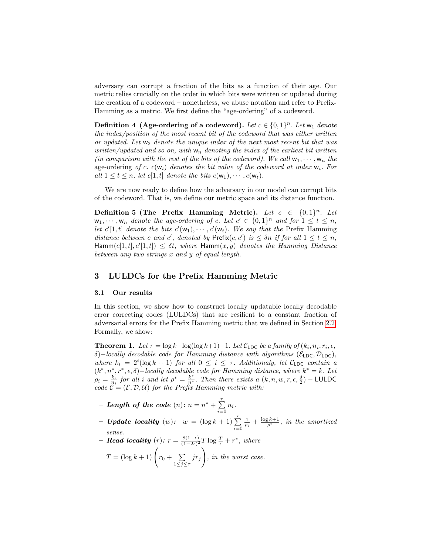adversary can corrupt a fraction of the bits as a function of their age. Our metric relies crucially on the order in which bits were written or updated during the creation of a codeword – nonetheless, we abuse notation and refer to Prefix-Hamming as a metric. We first define the "age-ordering" of a codeword.

Definition 4 (Age-ordering of a codeword). Let  $c \in \{0,1\}^n$ . Let  $w_1$  denote the index/position of the most recent bit of the codeword that was either written or updated. Let  $w_2$  denote the unique index of the next most recent bit that was written/updated and so on, with  $w_n$  denoting the index of the earliest bit written (in comparison with the rest of the bits of the codeword). We call  $w_1, \dots, w_n$  the age-ordering of c. c(w<sub>i</sub>) denotes the bit value of the codeword at index w<sub>i</sub>. For all  $1 \leq t \leq n$ , let  $c[1, t]$  denote the bits  $c(\mathsf{w}_1), \cdots, c(\mathsf{w}_t)$ .

We are now ready to define how the adversary in our model can corrupt bits of the codeword. That is, we define our metric space and its distance function.

Definition 5 (The Prefix Hamming Metric). Let  $c \in \{0,1\}^n$ . Let  $w_1, \dots, w_n$  denote the age-ordering of c. Let  $c' \in \{0,1\}^n$  and for  $1 \leq t \leq n$ , let  $c'[1,t]$  denote the bits  $c'(\mathsf{w}_1), \cdots, c'(\mathsf{w}_t)$ . We say that the Prefix Hamming distance between c and c', denoted by  $\text{Prefix}(c, c')$  is  $\leq \delta n$  if for all  $1 \leq t \leq n$ ,  $\text{Hamm}(c[1, t], c'[1, t]) \leq \delta t$ , where  $\text{Hamm}(x, y)$  denotes the Hamming Distance between any two strings x and y of equal length.

## <span id="page-9-0"></span>3 LULDCs for the Prefix Hamming Metric

#### 3.1 Our results

In this section, we show how to construct locally updatable locally decodable error correcting codes (LULDCs) that are resilient to a constant fraction of adversarial errors for the Prefix Hamming metric that we defined in Section [2.2.](#page-8-0) Formally, we show:

<span id="page-9-1"></span>**Theorem 1.** Let  $\tau = \log k - \log(\log k + 1) - 1$ . Let  $C_{\text{LOC}}$  be a family of  $(k_i, n_i, r_i, \epsilon,$ δ) – locally decodable code for Hamming distance with algorithms  $(\mathcal{E}_{\text{LDC}}, \mathcal{D}_{\text{LDC}})$ , where  $k_i = 2^i (\log k + 1)$  for all  $0 \le i \le \tau$ . Additionaly, let  $C_{LDC}$  contain a  $(k^*, n^*, r^*, \epsilon, \delta)$ -locally decodable code for Hamming distance, where  $k^* = k$ . Let  $\rho_i = \frac{k_i}{n_i}$  for all i and let  $\rho^* = \frac{k^*}{n^*}$ . Then there exists a  $(k, n, w, r, \epsilon, \frac{\delta}{2})$  – LULDC code  $\mathcal{C} = (\mathcal{E}, \mathcal{D}, \mathcal{U})$  for the Prefix Hamming metric with:

- $-$  Length of the code  $(n)$ :  $n = n^* + \sum_{i=1}^{n}$  $\sum_{i=0} n_i$ .
- **Update locality** (w):  $w = (\log k + 1) \sum_{\rho_i}^{\tau} \frac{1}{\rho_i} + \frac{\log k + 1}{\rho^*}$ , in the amortized i=0 sense.
- $-$  Read locality  $(r)$ :  $r = \frac{8(1-\epsilon)}{(1-\epsilon)^{2\epsilon}}$  $\frac{8(1-\epsilon)}{(1-2\epsilon)^2}$ T log  $\frac{T}{\epsilon}$  +  $r^*$ , where

$$
T = (\log k + 1) \left( r_0 + \sum_{1 \le j \le \tau} j r_j \right), \text{ in the worst case.}
$$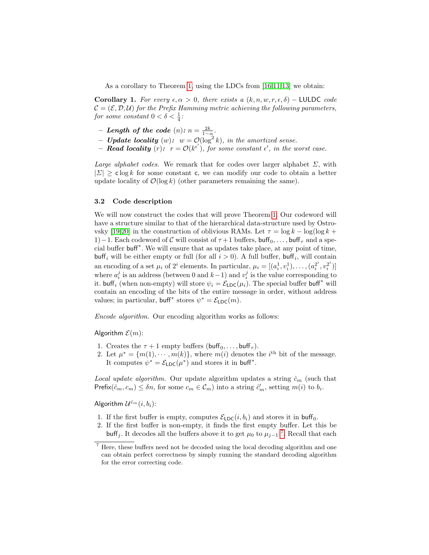As a corollary to Theorem [1,](#page-9-1) using the LDCs from [\[16,](#page-24-2)[11,](#page-24-3)[13\]](#page-24-4) we obtain:

Corollary 1. For every  $\epsilon, \alpha > 0$ , there exists a  $(k, n, w, r, \epsilon, \delta)$  – LULDC code  $\mathcal{C} = (\mathcal{E}, \mathcal{D}, \mathcal{U})$  for the Prefix Hamming metric achieving the following parameters, for some constant  $0 < \delta < \frac{1}{4}$ :

- $-$  Length of the code  $(n)$ :  $n = \frac{2k}{1-\alpha}$ .
- **Update locality** (w):  $w = \mathcal{O}(\log^2 k)$ , in the amortized sense.
- **Read locality**  $(r)$ :  $r = \mathcal{O}(k^{\epsilon'})$ , for some constant  $\epsilon'$ , in the worst case.

Large alphabet codes. We remark that for codes over larger alphabet  $\Sigma$ , with  $|\Sigma| \geq c \log k$  for some constant c, we can modify our code to obtain a better update locality of  $\mathcal{O}(\log k)$  (other parameters remaining the same).

### <span id="page-10-1"></span>3.2 Code description

We will now construct the codes that will prove Theorem [1.](#page-9-1) Our codeword will have a structure similar to that of the hierarchical data-structure used by Ostro-vsky [\[19](#page-24-11)[,20\]](#page-24-12) in the construction of oblivious RAMs. Let  $\tau = \log k - \log(\log k + \tau)$ 1)−1. Each codeword of C will consist of  $\tau+1$  buffers, buff<sub>0</sub>,..., buff<sub> $\tau$ </sub> and a special buffer buff<sup>∗</sup> . We will ensure that as updates take place, at any point of time, buff<sub>i</sub> will be either empty or full (for all  $i > 0$ ). A full buffer, buff<sub>i</sub>, will contain an encoding of a set  $\mu_i$  of  $2^i$  elements. In particular,  $\mu_i = [(a_i^1, v_i^1), \dots, (a_i^{2^i}, v_i^{2^i})]$ where  $a_i^j$  is an address (between 0 and  $k-1$ ) and  $v_i^j$  is the value corresponding to it. buff<sub>i</sub> (when non-empty) will store  $\psi_i = \mathcal{E}_{LDC}(\mu_i)$ . The special buffer buff<sup>\*</sup> will contain an encoding of the bits of the entire message in order, without address values; in particular, buff<sup>\*</sup> stores  $\psi^* = \mathcal{E}_{\text{LDC}}(m)$ .

Encode algorithm. Our encoding algorithm works as follows:

Algorithm  $\mathcal{E}(m)$ :

- 1. Creates the  $\tau + 1$  empty buffers (buff<sub>0</sub>,..., buff<sub> $\tau$ </sub>).
- 2. Let  $\mu^* = \{m(1), \dots, m(k)\}\,$ , where  $m(i)$  denotes the *i*<sup>th</sup> bit of the message. It computes  $\psi^* = \mathcal{E}_{LDC}(\mu^*)$  and stores it in buff<sup>\*</sup>.

Local update algorithm. Our update algorithm updates a string  $\hat{c}_m$  (such that Prefix $(\hat{c}_m, c_m) \leq \delta n$ , for some  $c_m \in \mathcal{C}_m$ ) into a string  $\hat{c}'_m$ , setting  $m(i)$  to  $b_i$ .

Algorithm  $\mathcal{U}^{\hat{c}_m}(i,b_i)$ :

- 1. If the first buffer is empty, computes  $\mathcal{E}_{\text{LDC}}(i, b_i)$  and stores it in buff<sub>0</sub>.
- 2. If the first buffer is non-empty, it finds the first empty buffer. Let this be buff<sub>j</sub>. It decodes all the buffers above it to get  $\mu_0$  to  $\mu_{j-1}$ <sup>[7](#page-10-0)</sup>. Recall that each

<span id="page-10-0"></span><sup>7</sup> Here, these buffers need not be decoded using the local decoding algorithm and one can obtain perfect correctness by simply running the standard decoding algorithm for the error correcting code.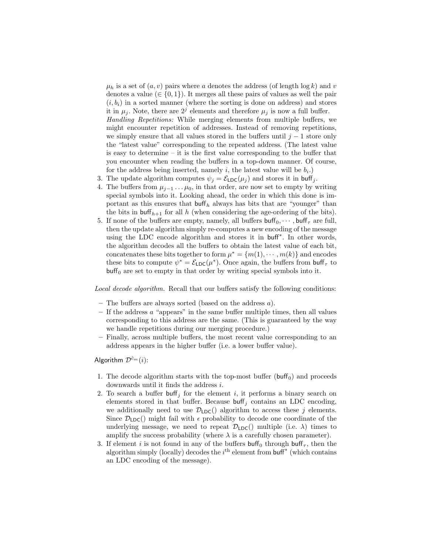$\mu_h$  is a set of  $(a, v)$  pairs where a denotes the address (of length  $\log k$ ) and v denotes a value  $(\in \{0,1\})$ . It merges all these pairs of values as well the pair  $(i, b<sub>i</sub>)$  in a sorted manner (where the sorting is done on address) and stores it in  $\mu_j$ . Note, there are  $2^j$  elements and therefore  $\mu_j$  is now a full buffer.

Handling Repetitions: While merging elements from multiple buffers, we might encounter repetition of addresses. Instead of removing repetitions, we simply ensure that all values stored in the buffers until  $j - 1$  store only the "latest value" corresponding to the repeated address. (The latest value is easy to determine – it is the first value corresponding to the buffer that you encounter when reading the buffers in a top-down manner. Of course, for the address being inserted, namely *i*, the latest value will be  $b_i$ .)

- 3. The update algorithm computes  $\psi_j = \mathcal{E}_{LDC}(\mu_j)$  and stores it in buff.
- 4. The buffers from  $\mu_{j-1} \ldots \mu_0$ , in that order, are now set to empty by writing special symbols into it. Looking ahead, the order in which this done is important as this ensures that  $\text{buff}_h$  always has bits that are "younger" than the bits in buff<sub>h+1</sub> for all h (when considering the age-ordering of the bits).
- 5. If none of the buffers are empty, namely, all buffers  $\text{buff}_0, \dots, \text{buff}_\tau$  are full, then the update algorithm simply re-computes a new encoding of the message using the LDC encode algorithm and stores it in buff<sup>\*</sup>. In other words, the algorithm decodes all the buffers to obtain the latest value of each bit, concatenates these bits together to form  $\mu^* = \{m(1), \dots, m(k)\}\$  and encodes these bits to compute  $\psi^* = \mathcal{E}_{\text{LDC}}(\mu^*)$ . Once again, the buffers from buff<sub> $\tau$ </sub> to  $\text{buff}_0$  are set to empty in that order by writing special symbols into it.

Local decode algorithm. Recall that our buffers satisfy the following conditions:

- The buffers are always sorted (based on the address  $a$ ).
- If the address a "appears" in the same buffer multiple times, then all values corresponding to this address are the same. (This is guaranteed by the way we handle repetitions during our merging procedure.)
- Finally, across multiple buffers, the most recent value corresponding to an address appears in the higher buffer (i.e. a lower buffer value).

Algorithm  $\mathcal{D}^{\hat{c}_m}(i)$ :

- 1. The decode algorithm starts with the top-most buffer ( $\text{buffer}_0$ ) and proceeds downwards until it finds the address i.
- 2. To search a buffer buff<sub>j</sub> for the element i, it performs a binary search on elements stored in that buffer. Because  $\text{buf}_i$  contains an LDC encoding, we additionally need to use  $\mathcal{D}_{LDC}$  algorithm to access these j elements. Since  $\mathcal{D}_{LDC}$  might fail with  $\epsilon$  probability to decode one coordinate of the underlying message, we need to repeat  $\mathcal{D}_{LDC}$  multiple (i.e.  $\lambda$ ) times to amplify the success probability (where  $\lambda$  is a carefully chosen parameter).
- 3. If element i is not found in any of the buffers buff<sub>0</sub> through buff<sub> $\tau$ </sub>, then the algorithm simply (locally) decodes the  $i<sup>th</sup>$  element from buff<sup>\*</sup> (which contains an LDC encoding of the message).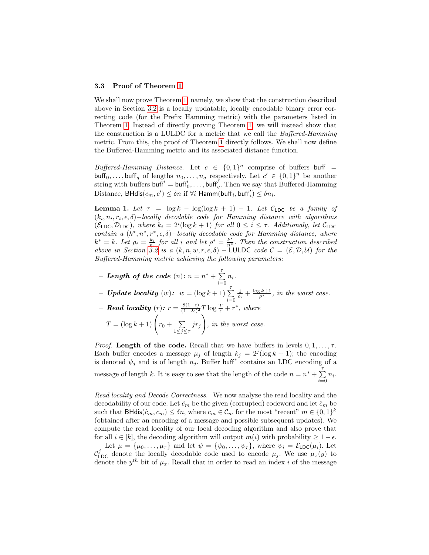#### 3.3 Proof of Theorem [1](#page-9-1)

We shall now prove Theorem [1;](#page-9-1) namely, we show that the construction described above in Section [3.2](#page-10-1) is a locally updatable, locally encodable binary error correcting code (for the Prefix Hamming metric) with the parameters listed in Theorem [1.](#page-9-1) Instead of directly proving Theorem [1,](#page-9-1) we will instead show that the construction is a LULDC for a metric that we call the Buffered-Hamming metric. From this, the proof of Theorem [1](#page-9-1) directly follows. We shall now define the Buffered-Hamming metric and its associated distance function.

Buffered-Hamming Distance. Let  $c \in \{0,1\}^n$  comprise of buffers buff = buff<sub>0</sub>,..., buff<sub>q</sub> of lengths  $n_0, \ldots, n_q$  respectively. Let  $c' \in \{0,1\}^n$  be another string with buffers buff' =  $\text{buff}'_0, \ldots, \text{buff}'_q$ . Then we say that Buffered-Hamming  $\text{Distance, BHdis}(c_m, c') \leq \delta n \text{ if } \forall i \text{ Hamm}(\text{buff}_i, \text{buff}_i') \leq \delta n_i.$ 

<span id="page-12-0"></span>Lemma 1. Let  $\tau = \log k - \log(\log k + 1) - 1$ . Let  $C_{LDC}$  be a family of  $(k_i, n_i, r_i, \epsilon, \delta)$  - locally decodable code for Hamming distance with algorithms  $(\mathcal{E}_{\text{LDC}}, \mathcal{D}_{\text{LDC}})$ , where  $k_i = 2^i (\log k + 1)$  for all  $0 \le i \le \tau$ . Additionaly, let  $\mathcal{C}_{\text{LDC}}$ contain a  $(k^*, n^*, r^*, \epsilon, \delta)$  -locally decodable code for Hamming distance, where  $k^* = k$ . Let  $\rho_i = \frac{k_i}{n_i}$  for all i and let  $\rho^* = \frac{k^*}{n^*}$ . Then the construction described above in Section [3.2](#page-10-1) is a  $(k, n, w, r, \epsilon, \delta)$  – LULDC code  $\mathcal{C} = (\mathcal{E}, \mathcal{D}, \mathcal{U})$  for the Buffered-Hamming metric achieving the following parameters:

- $-$  Length of the code  $(n)$ :  $n = n^* + \sum_{i=1}^{n}$  $\sum_{i=0} n_i$ .
- Update locality  $(w)$ :  $w = (\log k + 1) \sum_{k=1}^{T}$  $i=0$  $\frac{1}{\rho_i} + \frac{\log k + 1}{\rho^*}$ , in the worst case.
- $-$  Read locality  $(r)$ :  $r = \frac{8(1-\epsilon)}{(1-\epsilon)^{2\epsilon}}$  $\frac{8(1-\epsilon)}{(1-2\epsilon)^2}$ T log  $\frac{T}{\epsilon}$  +  $r^*$ , where  $T = (\log k + 1) \left( r_0 + \sum_{k=1}^{n} \right)$  $\sum_{1\leq j\leq \tau}jr_j$  $\setminus$ , in the worst case.

*Proof.* Length of the code. Recall that we have buffers in levels  $0, 1, \ldots, \tau$ . Each buffer encodes a message  $\mu_j$  of length  $k_j = 2^j(\log k + 1)$ ; the encoding is denoted  $\psi_j$  and is of length  $n_j$ . Buffer buff<sup>\*</sup> contains an LDC encoding of a message of length k. It is easy to see that the length of the code  $n = n^* + \sum_{i=1}^{n}$  $\sum_{i=0}^{\infty} n_i$ .

Read locality and Decode Correctness. We now analyze the read locality and the decodability of our code. Let  $\hat{c}_m$  be the given (corrupted) codeword and let  $\hat{c}_m$  be such that BHdis $(\hat{c}_m, c_m) \leq \delta n$ , where  $c_m \in \mathcal{C}_m$  for the most "recent"  $m \in \{0, 1\}^k$ (obtained after an encoding of a message and possible subsequent updates). We compute the read locality of our local decoding algorithm and also prove that for all  $i \in [k]$ , the decoding algorithm will output  $m(i)$  with probability  $\geq 1 - \epsilon$ .

Let  $\mu = {\mu_0, \ldots, \mu_{\tau}}$  and let  $\psi = {\psi_0, \ldots, \psi_{\tau}}$ , where  $\psi_i = \mathcal{E}_{\text{LDC}}(\mu_i)$ . Let  $\mathcal{C}_{\textsf{LDC}}^{j}$  denote the locally decodable code used to encode  $\mu_j$ . We use  $\mu_x(y)$  to denote the  $y^{th}$  bit of  $\mu_x$ . Recall that in order to read an index i of the message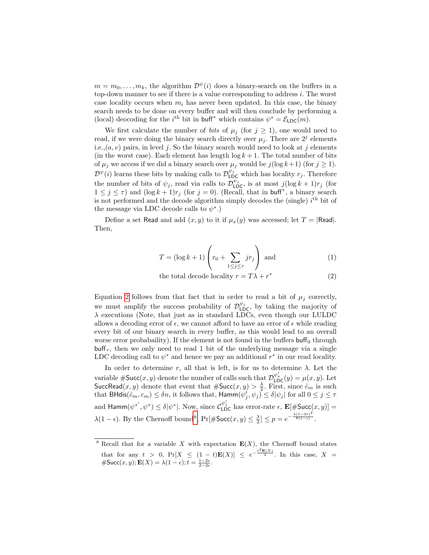$m = m_0, \ldots, m_k$ , the algorithm  $\mathcal{D}^{\psi}(i)$  does a binary-search on the buffers in a top-down manner to see if there is a value corresponding to address i. The worst case locality occurs when  $m_i$  has never been updated. In this case, the binary search needs to be done on every buffer and will then conclude by performing a (local) deocoding for the *i*<sup>th</sup> bit in buff<sup>\*</sup> which contains  $\psi^* = \mathcal{E}_{\text{LDC}}(m)$ .

We first calculate the number of *bits* of  $\mu_j$  (for  $j \geq 1$ ), one would need to read, if we were doing the binary search directly over  $\mu_j$ . There are  $2^j$  elements i.e., $(a, v)$  pairs, in level j. So the binary search would need to look at j elements (in the worst case). Each element has length  $\log k + 1$ . The total number of bits of  $\mu_i$  we access if we did a binary search over  $\mu_i$  would be  $j(\log k+1)$  (for  $j \ge 1$ ).  $\mathcal{D}^{\psi}(i)$  learns these bits by making calls to  $\mathcal{D}_{\textsf{LDC}}^{\psi_j}$  which has locality  $r_j$ . Therefore the number of bits of  $\psi_j$ , read via calls to  $\mathcal{D}_{\text{LDC}}^{\psi_j}$ , is at most  $j(\log k + 1)r_j$  (for  $1 \leq j \leq \tau$ ) and  $(\log k + 1)r_j$  (for  $j = 0$ ). (Recall, that in buff<sup>\*</sup>, a binary search is not performed and the decode algorithm simply decodes the (single)  $i^{\text{th}}$  bit of the message via LDC decode calls to  $\psi^*$ .)

Define a set Read and add  $(x, y)$  to it if  $\mu_x(y)$  was accessed; let  $T = |Read|$ . Then,

<span id="page-13-0"></span>
$$
T = (\log k + 1) \left( r_0 + \sum_{1 \le j \le \tau} j r_j \right) \text{ and } (1)
$$

the total decode locality  $r = T\lambda + r^*$ (2)

Equation [2](#page-13-0) follows from that fact that in order to read a bit of  $\mu_j$  correctly, we must amplify the success probability of  $\mathcal{D}_{\text{LDC}}^{\psi_j}$ , by taking the majority of  $\lambda$  executions (Note, that just as in standard LDCs, even though our LULDC allows a decoding error of  $\epsilon$ , we cannot afford to have an error of  $\epsilon$  while reading every bit of our binary search in every buffer, as this would lead to an overall worse error probabaility). If the element is not found in the buffers  $\text{buf}_0$  through  $\text{buff}_{\tau}$ , then we only need to read 1 bit of the underlying message via a single LDC decoding call to  $\psi^*$  and hence we pay an additional  $r^*$  in our read locality.

In order to determine r, all that is left, is for us to determine  $\lambda$ . Let the variable  $\#\textsf{Succ}(x, y)$  denote the number of calls such that  $\mathcal{D}_{\textsf{LDC}}^{\psi_x'}(y) = \mu(x, y)$ . Let SuccRead $(x, y)$  denote that event that  $\#\text{Succ}(x, y) > \frac{\lambda}{2}$ . First, since  $\hat{c}_m$  is such that  $\mathsf{BHdis}(\hat{c}_m,c_m)\leq \delta n,$  it follows that,  $\mathsf{Hamm}(\psi'_j,\psi_j)\leq \delta|\psi_j|$  for all  $0\leq j\leq \tau$ and  $\mathsf{Hamm}(\psi^{*'}, \psi^*) \leq \delta |\psi^*|.$  Now, since  $\mathcal{C}_{\mathsf{LDC}}^{\psi_j'}$  has error-rate  $\epsilon, \, \mathbf{E}[\#\mathsf{Succ}(x,y)] =$  $\lambda(1-\epsilon)$ . By the Chernoff bound<sup>[8](#page-13-1)</sup>, Pr[#Succ(x, y)  $\leq \frac{\lambda}{2}$ ]  $\leq p = e^{-\frac{\lambda(1-2\epsilon)^2}{8(1-\epsilon)}}$ .

<span id="page-13-1"></span><sup>&</sup>lt;sup>8</sup> Recall that for a variable X with expectation  $E(X)$ , the Chernoff bound states that for any  $t > 0$ ,  $Pr[X \leq (1-t)E(X)] \leq e^{-\frac{t^2E(X)}{2}}$ . In this case,  $X =$  $\#\textsf{Succ}(x,y);$   $\mathbf{E}(X) = \lambda(1-\epsilon);$   $t = \frac{1-2\epsilon}{2-2\epsilon}.$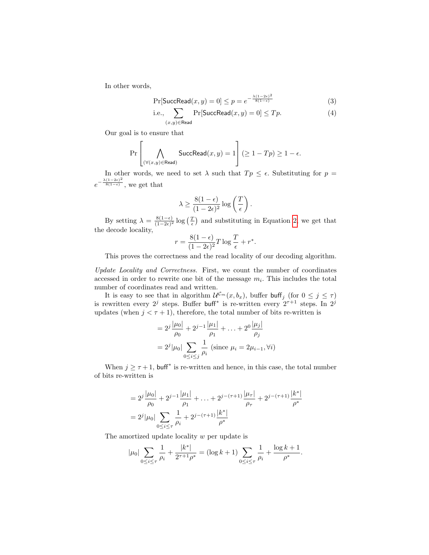In other words,

$$
\Pr[\text{SuccRead}(x, y) = 0] \le p = e^{-\frac{\lambda(1 - 2\epsilon)^2}{8(1 - \epsilon)}} \tag{3}
$$

i.e., 
$$
\sum_{(x,y)\in \text{Read}} \Pr[\text{SuccRead}(x,y) = 0] \le Tp.
$$
 (4)

Our goal is to ensure that

$$
\Pr\left[\bigwedge_{(\forall (x,y)\in \text{Read})} \text{SuccRead}(x,y) = 1\right] (\geq 1 - Tp) \geq 1 - \epsilon.
$$

In other words, we need to set  $\lambda$  such that  $Tp \leq \epsilon$ . Substituting for  $p =$  $e^{-\frac{\lambda(1-2\epsilon)^2}{8(1-\epsilon)}},$  we get that

$$
\lambda \geq \frac{8(1-\epsilon)}{(1-2\epsilon)^2} \log \left(\frac{T}{\epsilon}\right).
$$

By setting  $\lambda = \frac{8(1-\epsilon)}{(1-2\epsilon)^{\frac{3}{2}}}$  $\frac{8(1-\epsilon)}{(1-2\epsilon)^2}$  log  $(\frac{T}{\epsilon})$  and substituting in Equation [2,](#page-13-0) we get that the decode locality,

$$
r = \frac{8(1-\epsilon)}{(1-2\epsilon)^2} T \log \frac{T}{\epsilon} + r^*.
$$

This proves the correctness and the read locality of our decoding algorithm.

Update Locality and Correctness. First, we count the number of coordinates accessed in order to rewrite one bit of the message  $m_i$ . This includes the total number of coordinates read and written.

It is easy to see that in algorithm  $\mathcal{U}^{\mathcal{C}_m}(x, b_x)$ , buffer buff<sub>j</sub> (for  $0 \leq j \leq \tau$ ) is rewritten every  $2^j$  steps. Buffer buff<sup>\*</sup> is re-written every  $2^{\tau+1}$  steps. In  $2^j$ updates (when  $j < \tau + 1$ ), therefore, the total number of bits re-written is

$$
= 2^{j} \frac{|\mu_0|}{\rho_0} + 2^{j-1} \frac{|\mu_1|}{\rho_1} + \dots + 2^0 \frac{|\mu_j|}{\rho_j}
$$

$$
= 2^{j} |\mu_0| \sum_{0 \le i \le j} \frac{1}{\rho_i} \text{ (since } \mu_i = 2\mu_{i-1}, \forall i)
$$

When  $j \geq \tau + 1$ , buff<sup>\*</sup> is re-written and hence, in this case, the total number of bits re-written is

$$
= 2^{j} \frac{|\mu_{0}|}{\rho_{0}} + 2^{j-1} \frac{|\mu_{1}|}{\rho_{1}} + \dots + 2^{j-(\tau+1)} \frac{|\mu_{\tau}|}{\rho_{\tau}} + 2^{j-(\tau+1)} \frac{|\kappa^{*}|}{\rho^{*}}
$$

$$
= 2^{j} |\mu_{0}| \sum_{0 \le i \le \tau} \frac{1}{\rho_{i}} + 2^{j-(\tau+1)} \frac{|\kappa^{*}|}{\rho^{*}}
$$

The amortized update locality w per update is

$$
|\mu_0| \sum_{0 \le i \le \tau} \frac{1}{\rho_i} + \frac{|k^*|}{2^{\tau+1} \rho^*} = (\log k + 1) \sum_{0 \le i \le \tau} \frac{1}{\rho_i} + \frac{\log k + 1}{\rho^*}.
$$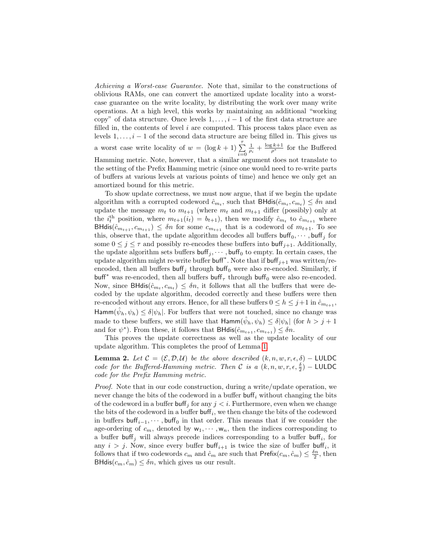Achieving a Worst-case Guarantee. Note that, similar to the constructions of oblivious RAMs, one can convert the amortized update locality into a worstcase guarantee on the write locality, by distributing the work over many write operations. At a high level, this works by maintaining an additional "working copy" of data structure. Once levels  $1, \ldots, i-1$  of the first data structure are filled in, the contents of level  $i$  are computed. This process takes place even as levels  $1, \ldots, i-1$  of the second data structure are being filled in. This gives us a worst case write locality of  $w = (\log k + 1) \sum_{i=1}^{T}$  $i=0$  $\frac{1}{\rho_i} + \frac{\log k + 1}{\rho^*}$  for the Buffered Hamming metric. Note, however, that a similar argument does not translate to the setting of the Prefix Hamming metric (since one would need to re-write parts of buffers at various levels at various points of time) and hence we only get an amortized bound for this metric.

To show update correctness, we must now argue, that if we begin the update algorithm with a corrupted codeword  $\hat{c}_{m_t}$ , such that **BHdis** $(\hat{c}_{m_t}, c_{m_t}) \leq \delta n$  and update the message  $m_t$  to  $m_{t+1}$  (where  $m_t$  and  $m_{t+1}$  differ (possibly) only at the  $i_t^{\text{th}}$  position, where  $m_{t+1}(i_t) = b_{t+1}$ , then we modify  $\hat{c}_{m_t}$  to  $\hat{c}_{m_{t+1}}$  where BHdis( $\hat{c}_{m_{t+1}}, c_{m_{t+1}} \leq \delta n$  for some  $c_{m_{t+1}}$  that is a codeword of  $m_{t+1}$ . To see this, observe that, the update algorithm decodes all buffers  $\text{buff}_0, \cdots, \text{buff}_i$  for some  $0 \leq j \leq \tau$  and possibly re-encodes these buffers into buff<sub>j+1</sub>. Additionally, the update algorithm sets buffers  $\mathsf{buff}_j, \cdots, \mathsf{buffer}_0$  to empty. In certain cases, the update algorithm might re-write buffer buff<sup>\*</sup>. Note that if buff<sub>j+1</sub> was written/reencoded, then all buffers buff<sub>j</sub> through buff<sub>0</sub> were also re-encoded. Similarly, if buff<sup>\*</sup> was re-encoded, then all buffers buff<sub> $\tau$ </sub> through buff<sub>0</sub> were also re-encoded. Now, since BHdis $(\hat{c}_{m_t}, c_{m_t}) \leq \delta n$ , it follows that all the buffers that were decoded by the update algorithm, decoded correctly and these buffers were then re-encoded without any errors. Hence, for all these buffers  $0 \leq h \leq j+1$  in  $\hat{c}_{m_{j+1}}$ ,  $\text{Hamm}(\hat{\psi}_h, \psi_h) \leq \delta |\psi_h|$ . For buffers that were not touched, since no change was made to these buffers, we still have that  $\textsf{Hamm}(\hat{\psi}_h, \psi_h) \leq \delta |\psi_h|$  (for  $h > j + 1$ and for  $\psi^*$ ). From these, it follows that  $\text{BHdis}(\hat{c}_{m_{t+1}}, c_{m_{t+1}}) \leq \delta n$ .

This proves the update correctness as well as the update locality of our update algorithm. This completes the proof of Lemma [1.](#page-12-0)

<span id="page-15-0"></span>**Lemma 2.** Let  $C = (\mathcal{E}, \mathcal{D}, \mathcal{U})$  be the above described  $(k, n, w, r, \epsilon, \delta)$  – LULDC code for the Buffered-Hamming metric. Then C is a  $(k, n, w, r, \epsilon, \frac{\delta}{2})$  – LULDC code for the Prefix Hamming metric.

Proof. Note that in our code construction, during a write/update operation, we never change the bits of the codeword in a buffer buff<sub>i</sub> without changing the bits of the codeword in a buffer buff<sub>j</sub> for any  $j < i$ . Furthermore, even when we change the bits of the codeword in a buffer  $\text{buff}_i$ , we then change the bits of the codeword in buffers buff<sub>i–1</sub>,  $\cdots$ , buff<sub>0</sub> in that order. This means that if we consider the age-ordering of  $c_m$ , denoted by  $w_1, \dots, w_n$ , then the indices corresponding to a buffer buff<sub>j</sub> will always precede indices corresponding to a buffer buff<sub>i</sub>, for any  $i > j$ . Now, since every buffer buff<sub>i+1</sub> is twice the size of buffer buff<sub>i</sub>, it follows that if two codewords  $c_m$  and  $\hat{c}_m$  are such that  $\mathsf{Prefix}(c_m, \hat{c}_m) \leq \frac{\delta n}{2}$ , then BHdis $(c_m, \hat{c}_m) \leq \delta n$ , which gives us our result.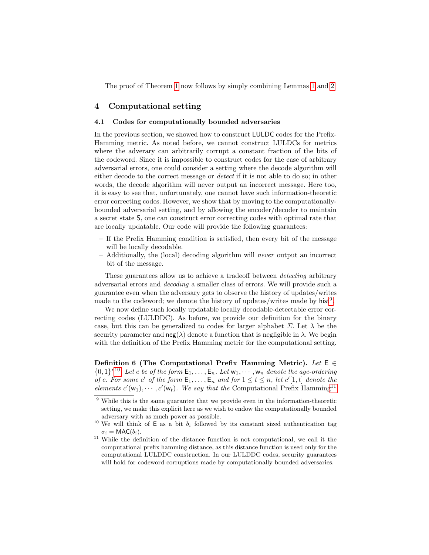The proof of Theorem [1](#page-9-1) now follows by simply combining Lemmas [1](#page-12-0) and [2.](#page-15-0)

## <span id="page-16-0"></span>4 Computational setting

#### 4.1 Codes for computationally bounded adversaries

In the previous section, we showed how to construct LULDC codes for the Prefix-Hamming metric. As noted before, we cannot construct LULDCs for metrics where the adverary can arbitrarily corrupt a constant fraction of the bits of the codeword. Since it is impossible to construct codes for the case of arbitrary adversarial errors, one could consider a setting where the decode algorithm will either decode to the correct message or detect if it is not able to do so; in other words, the decode algorithm will never output an incorrect message. Here too, it is easy to see that, unfortunately, one cannot have such information-theoretic error correcting codes. However, we show that by moving to the computationallybounded adversarial setting, and by allowing the encoder/decoder to maintain a secret state S, one can construct error correcting codes with optimal rate that are locally updatable. Our code will provide the following guarantees:

- If the Prefix Hamming condition is satisfied, then every bit of the message will be locally decodable.
- Additionally, the (local) decoding algorithm will never output an incorrect bit of the message.

These guarantees allow us to achieve a tradeoff between *detecting* arbitrary adversarial errors and decoding a smaller class of errors. We will provide such a guarantee even when the adversary gets to observe the history of updates/writes made to the codeword; we denote the history of updates/writes made by hist<sup>[9](#page-16-1)</sup>.

We now define such locally updatable locally decodable-detectable error correcting codes (LULDDC). As before, we provide our definition for the binary case, but this can be generalized to codes for larger alphabet  $\Sigma$ . Let  $\lambda$  be the security parameter and  $neg(\lambda)$  denote a function that is negligible in  $\lambda$ . We begin with the definition of the Prefix Hamming metric for the computational setting.

Definition 6 (The Computational Prefix Hamming Metric). Let  $E \in \mathcal{E}$  $\{0,1\}^{r}$ <sup>[10](#page-16-2)</sup>. Let c be of the form  $\mathsf{E}_1,\ldots,\mathsf{E}_n$ . Let  $\mathsf{w}_1,\cdots,\mathsf{w}_n$  denote the age-ordering of c. For some c' of the form  $\mathsf{E}_1,\ldots,\mathsf{E}_n$  and for  $1 \leq t \leq n$ , let  $c'[1,t]$  denote the elements  $c'(\mathsf{w}_1), \cdots, c'(\mathsf{w}_t)$ . We say that the Computational Prefix Hamming<sup>[11](#page-16-3)</sup>

<span id="page-16-1"></span><sup>&</sup>lt;sup>9</sup> While this is the same guarantee that we provide even in the information-theoretic setting, we make this explicit here as we wish to endow the computationally bounded adversary with as much power as possible.

<span id="page-16-2"></span><sup>&</sup>lt;sup>10</sup> We will think of E as a bit  $b_i$  followed by its constant sized authentication tag  $\sigma_i = \text{MAC}(b_i).$ 

<span id="page-16-3"></span><sup>&</sup>lt;sup>11</sup> While the definition of the distance function is not computational, we call it the computational prefix hamming distance, as this distance function is used only for the computational LULDDC construction. In our LULDDC codes, security guarantees will hold for codeword corruptions made by computationally bounded adversaries.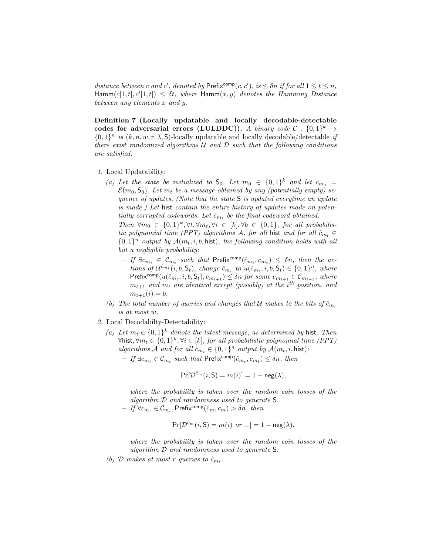distance between c and c', denoted by  $\mathsf{Prefix}^{\mathsf{comp}}(c, c')$ , is  $\leq \delta n$  if for all  $1 \leq t \leq n$ ,  $\text{Hamm}(c[1, t], c'[1, t]) \leq \delta t$ , where  $\text{Hamm}(x, y)$  denotes the Hamming Distance between any elements x and y.

Definition 7 (Locally updatable and locally decodable-detectable codes for adversarial errors (LULDDC)). A binary code  $C: \{0,1\}^k \rightarrow$  $\{0,1\}^n$  is  $(k, n, w, r, \lambda, S)$ -locally updatable and locally decodable/detectable if there exist randomized algorithms  $U$  and  $D$  such that the following conditions are satisfied:

- 1. Local Updatability:
	- (a) Let the state be initialized to  $S_0$ . Let  $m_0 \in \{0,1\}^k$  and let  $c_{m_0}$  =  $\mathcal{E}(m_0, \mathsf{S}_0)$ . Let  $m_t$  be a message obtained by any (potentially empty) sequence of updates. (Note that the state S is updated everytime an update is made.) Let hist contain the entire history of updates made on potentially corrupted codewords. Let  $\hat{c}_{m_t}$  be the final codeword obtained.

Then  $\forall m_0 \in \{0,1\}^k, \forall t, \forall m_t, \forall i \in [k], \forall b \in \{0,1\}, \text{ for all probabilities-}$ tic polynomial time (PPT) algorithms A, for all hist and for all  $\hat{c}_{m_t} \in$  ${0,1}^n$  output by  $\mathcal{A}(m_t, i, b, \text{hist})$ , the following condition holds with all but a negligible probability:

- $−$  If  $\exists c_{m_t} \in \mathcal{C}_{m_t}$  such that Prefix<sup>comp</sup> $(\hat{c}_{m_t}, c_{m_t}) \leq \delta n$ , then the actions of  $\mathcal{U}^{\hat{c}_{m_t}}(i, b, \mathsf{S}_t)$ , change  $\hat{c}_{m_t}$  to  $u(\hat{c}_{m_t}, i, b, \mathsf{S}_t) \in \{0, 1\}^n$ , where Prefix<sup>comp</sup>( $u(\hat{c}_{m_t}, i, b, S_t)$ ,  $c_{m_{t+1}} \leq \delta n$  for some  $c_{m_{t+1}} \in C_{m_{t+1}}$ , where  $m_{t+1}$  and  $m_t$  are identical except (possibly) at the i<sup>th</sup> position, and  $m_{t+1}(i) = b.$
- (b) The total number of queries and changes that U makes to the bits of  $\hat{c}_{m_t}$ is at most w.
- 2. Local Decodabilty-Detectability:
	- (a) Let  $m_t \in \{0,1\}^k$  denote the latest message, as determined by hist. Then  $\forall$ hist,  $\forall m_t \in \{0,1\}^k, \forall i \in [k]$ , for all probabilistic polynomial time (PPT) algorithms A and for all  $\hat{c}_{m_t} \in \{0,1\}^n$  output by  $\mathcal{A}(m_t, i, \text{hist})$ :
		- $-If \exists c_{m_t} \in \mathcal{C}_{m_t}$  such that  $\mathsf{Prefix}^{\mathsf{comp}}(\hat{c}_{m_t}, c_{m_t}) \leq \delta n$ , then

$$
\Pr[\mathcal{D}^{\hat{c}_m}(i,\mathsf{S}) = m(i)] = 1 - \mathsf{neg}(\lambda),
$$

where the probability is taken over the random coin tosses of the algorithm D and randomness used to generate S.

 $- If \forall c_{m_t} \in \mathcal{C}_{m_t},$  Prefix<sup>comp</sup> $(\hat{c}_m, c_m) > \delta n$ , then

$$
\Pr[\mathcal{D}^{\hat{c}_m}(i,\mathsf{S}) = m(i) \text{ or } \bot] = 1 - \mathsf{neg}(\lambda),
$$

where the probability is taken over the random coin tosses of the algorithm D and randomness used to generate S.

(b)  $D$  makes at most r queries to  $\hat{c}_{m_t}$ .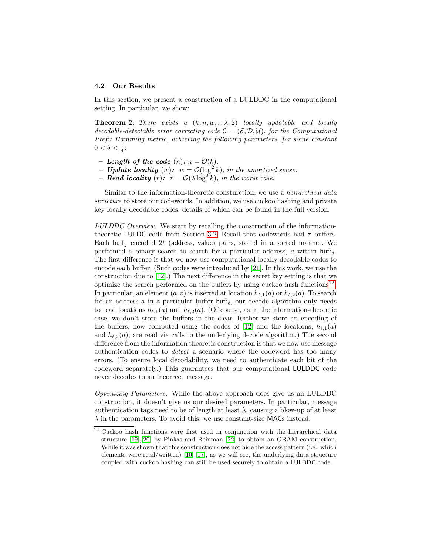#### 4.2 Our Results

In this section, we present a construction of a LULDDC in the computational setting. In particular, we show:

<span id="page-18-1"></span>**Theorem 2.** There exists a  $(k, n, w, r, \lambda, S)$  locally updatable and locally decodable-detectable error correcting code  $\mathcal{C} = (\mathcal{E}, \mathcal{D}, \mathcal{U})$ , for the Computational Prefix Hamming metric, achieving the following parameters, for some constant  $0 < \delta < \frac{1}{4}$ :

- Length of the code  $(n)$ :  $n = \mathcal{O}(k)$ .
- **Update locality** (w):  $w = \mathcal{O}(\log^2 k)$ , in the amortized sense.
- **Read locality**  $(r)$ :  $r = \mathcal{O}(\lambda \log^2 k)$ , in the worst case.

Similar to the information-theoretic consturction, we use a heirarchical data structure to store our codewords. In addition, we use cuckoo hashing and private key locally decodable codes, details of which can be found in the full version.

LULDDC Overview. We start by recalling the construction of the information-theoretic LULDC code from Section [3.2.](#page-10-1) Recall that codewords had  $\tau$  buffers. Each buff<sub>j</sub> encoded  $2^j$  (address, value) pairs, stored in a sorted manner. We performed a binary search to search for a particular address, a within buff, The first difference is that we now use computational locally decodable codes to encode each buffer. (Such codes were introduced by [\[21\]](#page-24-14). In this work, we use the construction due to [\[12\]](#page-24-13).) The next difference in the secret key setting is that we optimize the search performed on the buffers by using cuckoo hash functions<sup>[12](#page-18-0)</sup>. In particular, an element  $(a, v)$  is inserted at location  $h_{\ell,1}(a)$  or  $h_{\ell,2}(a)$ . To search for an address  $a$  in a particular buffer buff<sub> $\ell$ </sub>, our decode algorithm only needs to read locations  $h_{\ell,1}(a)$  and  $h_{\ell,2}(a)$ . (Of course, as in the information-theoretic case, we don't store the buffers in the clear. Rather we store an encoding of the buffers, now computed using the codes of [\[12\]](#page-24-13) and the locations,  $h_{\ell,1}(a)$ and  $h_{\ell,2}(a)$ , are read via calls to the underlying decode algorithm.) The second difference from the information theoretic construction is that we now use message authentication codes to detect a scenario where the codeword has too many errors. (To ensure local decodability, we need to authenticate each bit of the codeword separately.) This guarantees that our computational LULDDC code never decodes to an incorrect message.

Optimizing Parameters. While the above approach does give us an LULDDC construction, it doesn't give us our desired parameters. In particular, message authentication tags need to be of length at least  $\lambda$ , causing a blow-up of at least  $\lambda$  in the parameters. To avoid this, we use constant-size MACs instead.

<span id="page-18-0"></span><sup>&</sup>lt;sup>12</sup> Cuckoo hash functions were first used in conjunction with the hierarchical data structure [\[19\]](#page-24-11),[\[20\]](#page-24-12) by Pinkas and Reinman [\[22\]](#page-24-15) to obtain an ORAM construction. While it was shown that this construction does not hide the access pattern (i.e., which elements were read/written) [\[10\]](#page-23-9),[\[17\]](#page-24-16), as we will see, the underlying data structure coupled with cuckoo hashing can still be used securely to obtain a LULDDC code.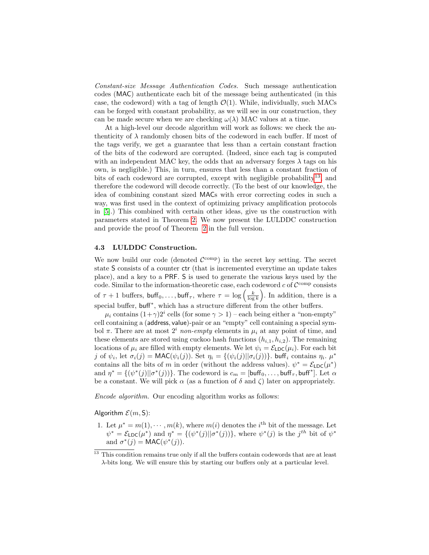Constant-size Message Authentication Codes. Such message authentication codes (MAC) authenticate each bit of the message being authenticated (in this case, the codeword) with a tag of length  $\mathcal{O}(1)$ . While, individually, such MACs can be forged with constant probability, as we will see in our construction, they can be made secure when we are checking  $\omega(\lambda)$  MAC values at a time.

At a high-level our decode algorithm will work as follows: we check the authenticity of  $\lambda$  randomly chosen bits of the codeword in each buffer. If most of the tags verify, we get a guarantee that less than a certain constant fraction of the bits of the codeword are corrupted. (Indeed, since each tag is computed with an independent MAC key, the odds that an adversary forges  $\lambda$  tags on his own, is negligible.) This, in turn, ensures that less than a constant fraction of bits of each codeword are corrupted, except with negligible probability<sup>[13](#page-19-0)</sup>, and therefore the codeword will decode correctly. (To the best of our knowledge, the idea of combining constant sized MACs with error correcting codes in such a way, was first used in the context of optimizing privacy amplification protocols in [\[5\]](#page-23-7).) This combined with certain other ideas, give us the construction with parameters stated in Theorem [2.](#page-18-1) We now present the LULDDC construction and provide the proof of Theorem [2](#page-18-1) in the full version.

### 4.3 LULDDC Construction.

We now build our code (denoted  $\mathcal{C}^{\text{comp}}$ ) in the secret key setting. The secret state S consists of a counter ctr (that is incremented everytime an update takes place), and a key to a PRF. S is used to generate the various keys used by the code. Similar to the information-theoretic case, each codeword  $c$  of  $\mathcal{C}^{\text{comp}}$  consists of  $\tau + 1$  buffers, buff<sub>0</sub>,..., buff<sub> $\tau$ </sub>, where  $\tau = \log \left( \frac{k}{\log k} \right)$ . In addition, there is a special buffer, buff<sup>\*</sup>, which has a structure different from the other buffers.

 $\mu_i$  contains  $(1+\gamma)2^i$  cells (for some  $\gamma > 1$ ) – each being either a "non-empty" cell containing a (address, value)-pair or an "empty" cell containing a special symbol  $\pi$ . There are at most  $2^i$  non-empty elements in  $\mu_i$  at any point of time, and these elements are stored using cuckoo hash functions  $(h_{i,1}, h_{i,2})$ . The remaining locations of  $\mu_i$  are filled with empty elements. We let  $\psi_i = \mathcal{E}_{\text{LOC}}(\mu_i)$ . For each bit j of  $\psi_i$ , let  $\sigma_i(j) = \text{MAC}(\psi_i(j))$ . Set  $\eta_i = \{(\psi_i(j)||\sigma_i(j))\}$ . buff<sub>i</sub> contains  $\eta_i$ .  $\mu^*$ contains all the bits of m in order (without the address values).  $\psi^* = \mathcal{E}_{LDC}(\mu^*)$ and  $\eta^* = \{(\psi^*(j) || \sigma^*(j))\}$ . The codeword is  $c_m = [\text{buff}_0, \dots, \text{buff}_\tau, \text{buff}^*]$ . Let  $\alpha$ be a constant. We will pick  $\alpha$  (as a function of  $\delta$  and  $\zeta$ ) later on appropriately.

Encode algorithm. Our encoding algorithm works as follows:

Algorithm  $\mathcal{E}(m, S)$ :

1. Let  $\mu^* = m(1), \dots, m(k)$ , where  $m(i)$  denotes the *i*<sup>th</sup> bit of the message. Let  $\psi^* = \mathcal{E}_{\text{LDC}}(\mu^*)$  and  $\eta^* = \{(\psi^*(j)||\sigma^*(j))\}$ , where  $\psi^*(j)$  is the j<sup>th</sup> bit of  $\psi^*$ and  $\sigma^*(j) = \text{MAC}(\psi^*(j)).$ 

<span id="page-19-0"></span> $13$  This condition remains true only if all the buffers contain codewords that are at least λ-bits long. We will ensure this by starting our buffers only at a particular level.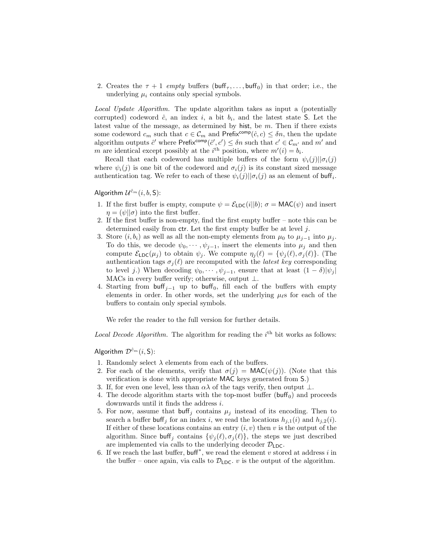2. Creates the  $\tau + 1$  empty buffers (buff<sub> $\tau$ </sub>,..., buff<sub>0</sub>) in that order; i.e., the underlying  $\mu_i$  contains only special symbols.

Local Update Algorithm. The update algorithm takes as input a (potentially corrupted) codeword  $\hat{c}$ , an index  $i$ , a bit  $b_i$ , and the latest state S. Let the latest value of the message, as determined by hist, be m. Then if there exists some codeword  $c_m$  such that  $c \in \mathcal{C}_m$  and Prefix<sup>comp</sup> $(\hat{c}, c) \leq \delta n$ , then the update algorithm outputs  $\hat{c}'$  where  $\mathsf{Prefix}^{\mathsf{comp}}(\hat{c}', c') \leq \delta n$  such that  $c' \in \mathcal{C}_{m'}$  and  $m'$  and m are identical except possibly at the *i*<sup>th</sup> position, where  $m'(i) = b_i$ .

Recall that each codeword has multiple buffers of the form  $\psi_i(j) || \sigma_i(j)$ where  $\psi_i(j)$  is one bit of the codeword and  $\sigma_i(j)$  is its constant sized message authentication tag. We refer to each of these  $\psi_i(j) || \sigma_i(j)$  as an element of buff<sub>i</sub>.

### Algorithm  $\mathcal{U}^{\hat{c}_m}(i,b,\mathsf{S})$ :

- 1. If the first buffer is empty, compute  $\psi = \mathcal{E}_{LDC}(i||b)$ ;  $\sigma = MAC(\psi)$  and insert  $\eta = (\psi||\sigma)$  into the first buffer.
- 2. If the first buffer is non-empty, find the first empty buffer note this can be determined easily from ctr. Let the first empty buffer be at level j.
- 3. Store  $(i, b_i)$  as well as all the non-empty elements from  $\mu_0$  to  $\mu_{j-1}$  into  $\mu_j$ . To do this, we decode  $\psi_0, \dots, \psi_{j-1}$ , insert the elements into  $\mu_j$  and then compute  $\mathcal{E}_{LDC}(\mu_j)$  to obtain  $\psi_j$ . We compute  $\eta_j(\ell) = {\psi_j(\ell), \sigma_j(\ell)}$ . (The authentication tags  $\sigma_j(\ell)$  are recomputed with the *latest key* corresponding to level j.) When decoding  $\psi_0, \dots, \psi_{i-1}$ , ensure that at least  $(1 - \delta)|\psi_i|$ MACs in every buffer verify; otherwise, output  $\perp$ .
- 4. Starting from buff<sub>j−1</sub> up to buff<sub>0</sub>, fill each of the buffers with empty elements in order. In other words, set the underlying  $\mu_{\ell}$ s for each of the buffers to contain only special symbols.

We refer the reader to the full version for further details.

*Local Decode Algorithm*. The algorithm for reading the  $i<sup>th</sup>$  bit works as follows:

### Algorithm  $\mathcal{D}^{\hat{c}_m}(i, S)$ :

- 1. Randomly select  $\lambda$  elements from each of the buffers.
- 2. For each of the elements, verify that  $\sigma(j) = \text{MAC}(\psi(j))$ . (Note that this verification is done with appropriate MAC keys generated from S.)
- 3. If, for even one level, less than  $\alpha\lambda$  of the tags verify, then output ⊥.
- 4. The decode algorithm starts with the top-most buffer ( $\text{buff}_0$ ) and proceeds downwards until it finds the address i.
- 5. For now, assume that buff<sub>j</sub> contains  $\mu_j$  instead of its encoding. Then to search a buffer buff<sub>j</sub> for an index i, we read the locations  $h_{j,1}(i)$  and  $h_{j,2}(i)$ . If either of these locations contains an entry  $(i, v)$  then v is the output of the algorithm. Since buff<sub>j</sub> contains  $\{\psi_i(\ell), \sigma_i(\ell)\}\$ , the steps we just described are implemented via calls to the underlying decoder  $\mathcal{D}_{LDC}$ .
- 6. If we reach the last buffer, buff<sup>\*</sup>, we read the element v stored at address i in the buffer – once again, via calls to  $\mathcal{D}_{\text{LDC}}$ . *v* is the output of the algorithm.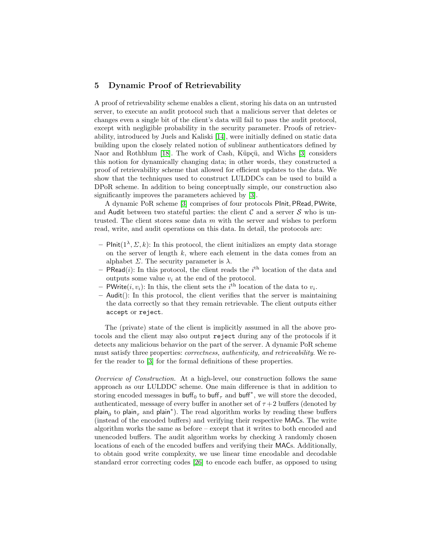## <span id="page-21-0"></span>5 Dynamic Proof of Retrievability

A proof of retrievability scheme enables a client, storing his data on an untrusted server, to execute an audit protocol such that a malicious server that deletes or changes even a single bit of the client's data will fail to pass the audit protocol, except with negligible probability in the security parameter. Proofs of retrievability, introduced by Juels and Kaliski [\[14\]](#page-24-8), were initially defined on static data building upon the closely related notion of sublinear authenticators defined by Naor and Rothblum [\[18\]](#page-24-9). The work of Cash, Küpçü, and Wichs [\[3\]](#page-23-5) considers this notion for dynamically changing data; in other words, they constructed a proof of retrievability scheme that allowed for efficient updates to the data. We show that the techniques used to construct LULDDCs can be used to build a DPoR scheme. In addition to being conceptually simple, our construction also significantly improves the parameters achieved by [\[3\]](#page-23-5).

A dynamic PoR scheme [\[3\]](#page-23-5) comprises of four protocols PInit, PRead, PWrite, and Audit between two stateful parties: the client  $\mathcal C$  and a server  $\mathcal S$  who is untrusted. The client stores some data  $m$  with the server and wishes to perform read, write, and audit operations on this data. In detail, the protocols are:

- Plnit( $1^{\lambda}, \Sigma, k$ ): In this protocol, the client initializes an empty data storage on the server of length  $k$ , where each element in the data comes from an alphabet  $\Sigma$ . The security parameter is  $\lambda$ .
- PRead(*i*): In this protocol, the client reads the *i*<sup>th</sup> location of the data and outputs some value  $v_i$  at the end of the protocol.
- PWrite $(i, v_i)$ : In this, the client sets the i<sup>th</sup> location of the data to  $v_i$ .
- Audit(): In this protocol, the client verifies that the server is maintaining the data correctly so that they remain retrievable. The client outputs either accept or reject.

The (private) state of the client is implicitly assumed in all the above protocols and the client may also output reject during any of the protocols if it detects any malicious behavior on the part of the server. A dynamic PoR scheme must satisfy three properties: correctness, authenticity, and retrievability. We refer the reader to [\[3\]](#page-23-5) for the formal definitions of these properties.

Overview of Construction. At a high-level, our construction follows the same approach as our LULDDC scheme. One main difference is that in addition to storing encoded messages in buff<sub>0</sub> to buff<sub> $\tau$ </sub> and buff<sup>\*</sup>, we will store the decoded, authenticated, message of every buffer in another set of  $\tau$  +2 buffers (denoted by plain<sub>0</sub> to plain<sub>τ</sub> and plain<sup>\*</sup>). The read algorithm works by reading these buffers (instead of the encoded buffers) and verifying their respective MACs. The write algorithm works the same as before – except that it writes to both encoded and unencoded buffers. The audit algorithm works by checking  $\lambda$  randomly chosen locations of each of the encoded buffers and verifying their MACs. Additionally, to obtain good write complexity, we use linear time encodable and decodable standard error correcting codes [\[26\]](#page-24-17) to encode each buffer, as opposed to using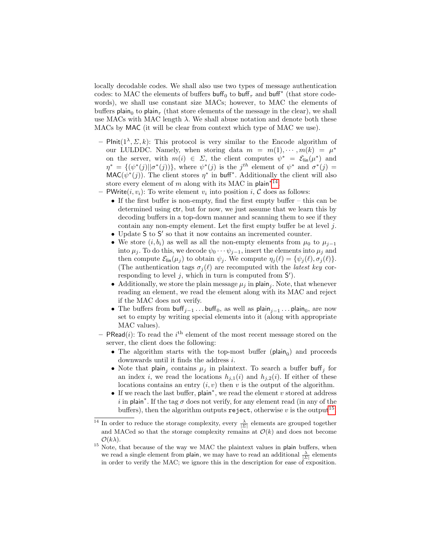locally decodable codes. We shall also use two types of message authentication codes: to MAC the elements of buffers  $\text{buff}_0$  to  $\text{buff}_\tau$  and  $\text{buff}^*$  (that store codewords), we shall use constant size MACs; however, to MAC the elements of buffers  $\mathsf{plain}_0$  to  $\mathsf{plain}_\tau$  (that store elements of the message in the clear), we shall use MACs with MAC length  $\lambda$ . We shall abuse notation and denote both these MACs by MAC (it will be clear from context which type of MAC we use).

- Plnit( $1^{\lambda}, \Sigma, k$ ): This protocol is very similar to the Encode algorithm of our LULDDC. Namely, when storing data  $m = m(1), \cdots, m(k) = \mu^*$ on the server, with  $m(i) \in \Sigma$ , the client computes  $\psi^* = \mathcal{E}_{\text{lin}}(\mu^*)$  and  $\eta^* = \{(\psi^*(j) || \sigma^*(j))\},\$  where  $\psi^*(j)$  is the  $j^{th}$  element of  $\psi^*$  and  $\sigma^*(j)$  $MAC(\psi^*(j))$ . The client stores  $\eta^*$  in buff<sup>\*</sup>. Additionally the client will also store every element of m along with its MAC in plain<sup>\*[14](#page-22-0)</sup>.
- PWrite $(i, v_i)$ : To write element  $v_i$  into position  $i, \mathcal{C}$  does as follows:
	- If the first buffer is non-empty, find the first empty buffer this can be determined using ctr, but for now, we just assume that we learn this by decoding buffers in a top-down manner and scanning them to see if they contain any non-empty element. Let the first empty buffer be at level  $j$ .
	- Update S to S' so that it now contains an incremented counter.
	- We store  $(i, b_i)$  as well as all the non-empty elements from  $\mu_0$  to  $\mu_{j-1}$ into  $\mu_i$ . To do this, we decode  $\psi_0 \cdots \psi_{i-1}$ , insert the elements into  $\mu_i$  and then compute  $\mathcal{E}_{\text{lin}}(\mu_j)$  to obtain  $\psi_j$ . We compute  $\eta_j(\ell) = {\psi_j(\ell), \sigma_j(\ell)}$ . (The authentication tags  $\sigma_i(\ell)$  are recomputed with the *latest key* corresponding to level  $j$ , which in turn is computed from  $S'$ ).
	- Additionally, we store the plain message  $\mu_j$  in plain<sub>j</sub>. Note, that whenever reading an element, we read the element along with its MAC and reject if the MAC does not verify.
	- The buffers from  $\text{buff}_{j-1} \dots \text{buff}_0$ , as well as  $\text{plain}_{j-1} \dots \text{plain}_0$ , are now set to empty by writing special elements into it (along with appropriate MAC values).
- PRead(i): To read the i<sup>th</sup> element of the most recent message stored on the server, the client does the following:
	- The algorithm starts with the top-most buffer  $(\text{plain}_0)$  and proceeds downwards until it finds the address *i*.
	- Note that plain<sub>j</sub> contains  $\mu_j$  in plaintext. To search a buffer buff<sub>j</sub> for an index i, we read the locations  $h_{j,1}(i)$  and  $h_{j,2}(i)$ . If either of these locations contains an entry  $(i, v)$  then v is the output of the algorithm.
	- If we reach the last buffer, plain<sup>\*</sup>, we read the element v stored at address i in plain<sup>\*</sup>. If the tag  $\sigma$  does not verify, for any element read (in any of the buffers), then the algorithm outputs reject, otherwise  $v$  is the output<sup>[15](#page-22-1)</sup>.

<span id="page-22-0"></span><sup>&</sup>lt;sup>14</sup> In order to reduce the storage complexity, every  $\frac{\lambda}{|\Sigma|}$  elements are grouped together and MACed so that the storage complexity remains at  $\mathcal{O}(k)$  and does not become  $\mathcal{O}(k\lambda)$ .

<span id="page-22-1"></span><sup>&</sup>lt;sup>15</sup> Note, that because of the way we MAC the plaintext values in plain buffers, when we read a single element from **plain**, we may have to read an additional  $\frac{\lambda}{|\Sigma|}$  elements in order to verify the MAC; we ignore this in the description for ease of exposition.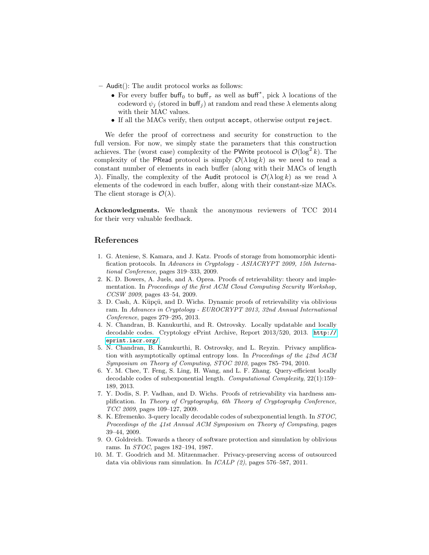- Audit(): The audit protocol works as follows:
	- For every buffer buff<sub>0</sub> to buff<sub> $\tau$ </sub> as well as buff<sup>\*</sup>, pick  $\lambda$  locations of the codeword  $\psi_i$  (stored in buff<sub>i</sub>) at random and read these  $\lambda$  elements along with their MAC values.
	- If all the MACs verify, then output accept, otherwise output reject.

We defer the proof of correctness and security for construction to the full version. For now, we simply state the parameters that this construction achieves. The (worst case) complexity of the PWrite protocol is  $\mathcal{O}(\log^2 k)$ . The complexity of the PRead protocol is simply  $\mathcal{O}(\lambda \log k)$  as we need to read a constant number of elements in each buffer (along with their MACs of length λ). Finally, the complexity of the Audit protocol is  $\mathcal{O}(\lambda \log k)$  as we read λ elements of the codeword in each buffer, along with their constant-size MACs. The client storage is  $\mathcal{O}(\lambda)$ .

Acknowledgments. We thank the anonymous reviewers of TCC 2014 for their very valuable feedback.

### References

- <span id="page-23-4"></span>1. G. Ateniese, S. Kamara, and J. Katz. Proofs of storage from homomorphic identification protocols. In Advances in Cryptology - ASIACRYPT 2009, 15th International Conference, pages 319–333, 2009.
- <span id="page-23-3"></span>2. K. D. Bowers, A. Juels, and A. Oprea. Proofs of retrievability: theory and implementation. In Proceedings of the first ACM Cloud Computing Security Workshop, CCSW 2009, pages 43–54, 2009.
- <span id="page-23-5"></span>3. D. Cash, A. Küpçü, and D. Wichs. Dynamic proofs of retrievability via oblivious ram. In Advances in Cryptology - EUROCRYPT 2013, 32nd Annual International Conference, pages 279–295, 2013.
- <span id="page-23-8"></span>4. N. Chandran, B. Kanukurthi, and R. Ostrovsky. Locally updatable and locally decodable codes. Cryptology ePrint Archive, Report 2013/520, 2013. [http://](http://eprint.iacr.org/) [eprint.iacr.org/](http://eprint.iacr.org/).
- <span id="page-23-7"></span>5. N. Chandran, B. Kanukurthi, R. Ostrovsky, and L. Reyzin. Privacy amplification with asymptotically optimal entropy loss. In Proceedings of the 42nd ACM Symposium on Theory of Computing, STOC 2010, pages 785–794, 2010.
- <span id="page-23-1"></span>6. Y. M. Chee, T. Feng, S. Ling, H. Wang, and L. F. Zhang. Query-efficient locally decodable codes of subexponential length. Computational Complexity, 22(1):159– 189, 2013.
- <span id="page-23-2"></span>7. Y. Dodis, S. P. Vadhan, and D. Wichs. Proofs of retrievability via hardness amplification. In Theory of Cryptography, 6th Theory of Cryptography Conference, TCC 2009, pages 109–127, 2009.
- <span id="page-23-0"></span>8. K. Efremenko. 3-query locally decodable codes of subexponential length. In STOC, Proceedings of the 41st Annual ACM Symposium on Theory of Computing, pages 39–44, 2009.
- <span id="page-23-6"></span>9. O. Goldreich. Towards a theory of software protection and simulation by oblivious rams. In STOC, pages 182–194, 1987.
- <span id="page-23-9"></span>10. M. T. Goodrich and M. Mitzenmacher. Privacy-preserving access of outsourced data via oblivious ram simulation. In ICALP (2), pages 576–587, 2011.